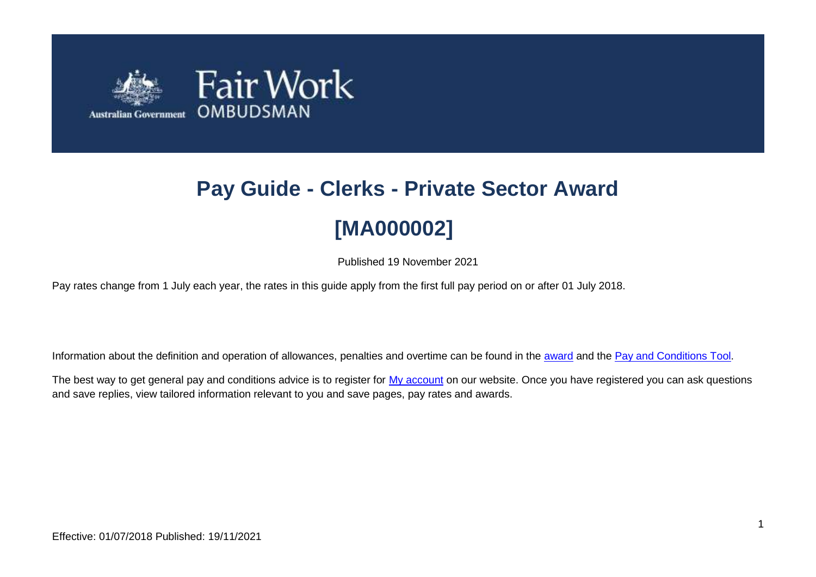

# **Pay Guide - Clerks - Private Sector Award [MA000002]**

Published 19 November 2021

Pay rates change from 1 July each year, the rates in this guide apply from the first full pay period on or after 01 July 2018.

Information about the definition and operation of allowances, penalties and overtime can be found in the [award](https://www.fairwork.gov.au/awards-and-agreements/awards/list-of-awards) and the [Pay and Conditions Tool.](https://calculate.fairwork.gov.au/)

The best way to get general pay and conditions advice is to register for [My account](https://www.fairwork.gov.au/my-account/registerpage.aspx) on our website. Once you have registered you can ask questions and save replies, view tailored information relevant to you and save pages, pay rates and awards.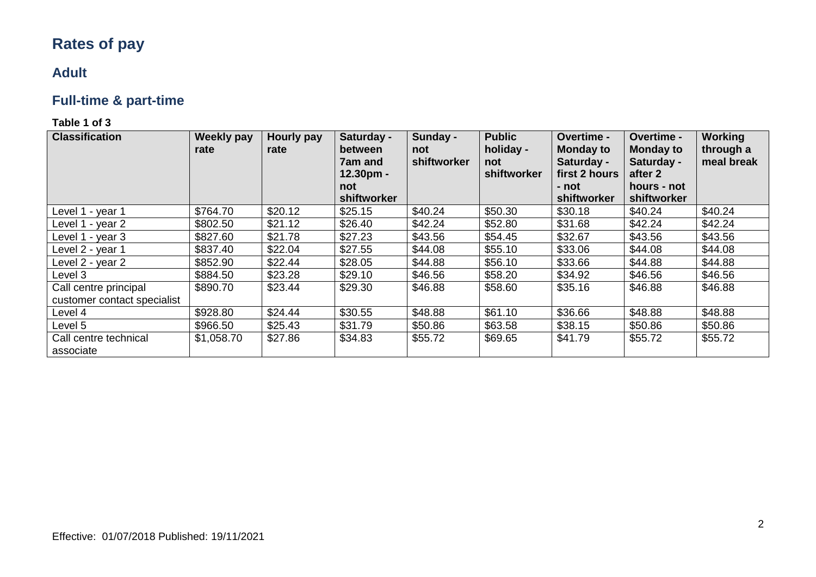# **Rates of pay**

### **Adult**

# **Full-time & part-time**

| <b>Classification</b>                                | <b>Weekly pay</b><br>rate | <b>Hourly pay</b><br>rate | Saturday -<br>between<br>7am and<br>12.30pm -<br>not<br>shiftworker | Sunday -<br>not<br>shiftworker | <b>Public</b><br>holiday -<br>not<br>shiftworker | Overtime -<br><b>Monday to</b><br>Saturday -<br>first 2 hours<br>- not<br>shiftworker | Overtime -<br><b>Monday to</b><br>Saturday -<br>after 2<br>hours - not<br>shiftworker | Working<br>through a<br>meal break |
|------------------------------------------------------|---------------------------|---------------------------|---------------------------------------------------------------------|--------------------------------|--------------------------------------------------|---------------------------------------------------------------------------------------|---------------------------------------------------------------------------------------|------------------------------------|
| Level 1 - year 1                                     | \$764.70                  | \$20.12                   | \$25.15                                                             | \$40.24                        | \$50.30                                          | \$30.18                                                                               | \$40.24                                                                               | \$40.24                            |
| Level 1 - year 2                                     | \$802.50                  | \$21.12                   | \$26.40                                                             | \$42.24                        | \$52.80                                          | \$31.68                                                                               | \$42.24                                                                               | \$42.24                            |
| Level 1 - year 3                                     | \$827.60                  | \$21.78                   | \$27.23                                                             | \$43.56                        | \$54.45                                          | \$32.67                                                                               | \$43.56                                                                               | \$43.56                            |
| Level 2 - year 1                                     | \$837.40                  | \$22.04                   | \$27.55                                                             | \$44.08                        | \$55.10                                          | \$33.06                                                                               | \$44.08                                                                               | \$44.08                            |
| Level 2 - year 2                                     | \$852.90                  | \$22.44                   | \$28.05                                                             | \$44.88                        | \$56.10                                          | \$33.66                                                                               | \$44.88                                                                               | \$44.88                            |
| Level 3                                              | \$884.50                  | \$23.28                   | \$29.10                                                             | \$46.56                        | \$58.20                                          | \$34.92                                                                               | \$46.56                                                                               | \$46.56                            |
| Call centre principal<br>customer contact specialist | \$890.70                  | \$23.44                   | \$29.30                                                             | \$46.88                        | \$58.60                                          | \$35.16                                                                               | \$46.88                                                                               | \$46.88                            |
| Level 4                                              | \$928.80                  | \$24.44                   | \$30.55                                                             | \$48.88                        | \$61.10                                          | \$36.66                                                                               | \$48.88                                                                               | \$48.88                            |
| Level 5                                              | \$966.50                  | \$25.43                   | \$31.79                                                             | \$50.86                        | \$63.58                                          | \$38.15                                                                               | \$50.86                                                                               | \$50.86                            |
| Call centre technical<br>associate                   | \$1,058.70                | \$27.86                   | \$34.83                                                             | \$55.72                        | \$69.65                                          | \$41.79                                                                               | \$55.72                                                                               | \$55.72                            |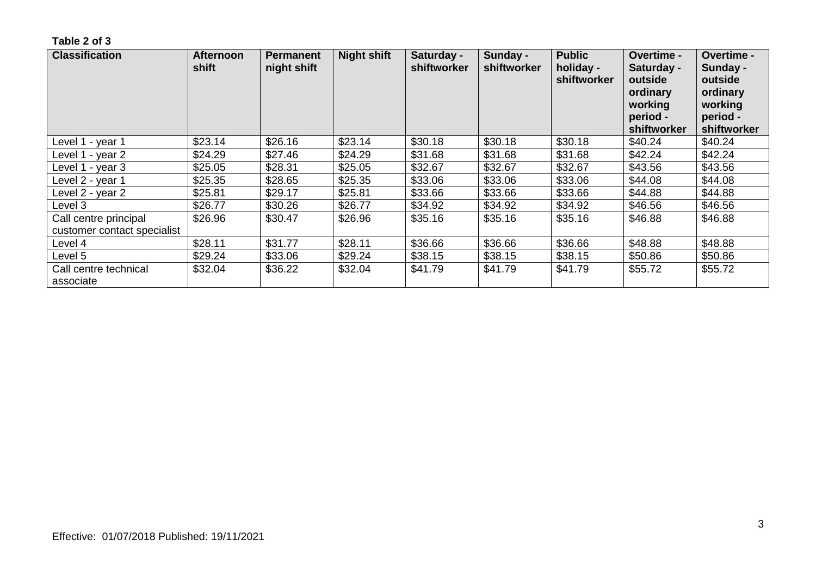| <b>Classification</b>                                | <b>Afternoon</b><br>shift | <b>Permanent</b><br>night shift | <b>Night shift</b> | Saturday -<br>shiftworker | Sunday -<br>shiftworker | <b>Public</b><br>holiday -<br>shiftworker | <b>Overtime -</b><br>Saturday -<br>outside<br>ordinary<br>working<br>period -<br>shiftworker | Overtime -<br>Sunday -<br>outside<br>ordinary<br>working<br>period -<br>shiftworker |
|------------------------------------------------------|---------------------------|---------------------------------|--------------------|---------------------------|-------------------------|-------------------------------------------|----------------------------------------------------------------------------------------------|-------------------------------------------------------------------------------------|
| Level 1 - year 1                                     | \$23.14                   | \$26.16                         | \$23.14            | \$30.18                   | \$30.18                 | \$30.18                                   | \$40.24                                                                                      | \$40.24                                                                             |
| Level 1 - year 2                                     | \$24.29                   | \$27.46                         | \$24.29            | \$31.68                   | \$31.68                 | \$31.68                                   | \$42.24                                                                                      | \$42.24                                                                             |
| Level 1 - year 3                                     | \$25.05                   | \$28.31                         | \$25.05            | \$32.67                   | \$32.67                 | \$32.67                                   | \$43.56                                                                                      | \$43.56                                                                             |
| Level 2 - year 1                                     | \$25.35                   | \$28.65                         | \$25.35            | \$33.06                   | \$33.06                 | \$33.06                                   | \$44.08                                                                                      | \$44.08                                                                             |
| Level 2 - year 2                                     | \$25.81                   | \$29.17                         | \$25.81            | \$33.66                   | \$33.66                 | \$33.66                                   | \$44.88                                                                                      | \$44.88                                                                             |
| Level 3                                              | \$26.77                   | \$30.26                         | \$26.77            | \$34.92                   | \$34.92                 | \$34.92                                   | \$46.56                                                                                      | \$46.56                                                                             |
| Call centre principal<br>customer contact specialist | \$26.96                   | \$30.47                         | \$26.96            | \$35.16                   | \$35.16                 | \$35.16                                   | \$46.88                                                                                      | \$46.88                                                                             |
| Level 4                                              | \$28.11                   | \$31.77                         | \$28.11            | \$36.66                   | \$36.66                 | \$36.66                                   | \$48.88                                                                                      | \$48.88                                                                             |
| Level 5                                              | \$29.24                   | \$33.06                         | \$29.24            | \$38.15                   | \$38.15                 | \$38.15                                   | \$50.86                                                                                      | \$50.86                                                                             |
| Call centre technical<br>associate                   | \$32.04                   | \$36.22                         | \$32.04            | \$41.79                   | \$41.79                 | \$41.79                                   | \$55.72                                                                                      | \$55.72                                                                             |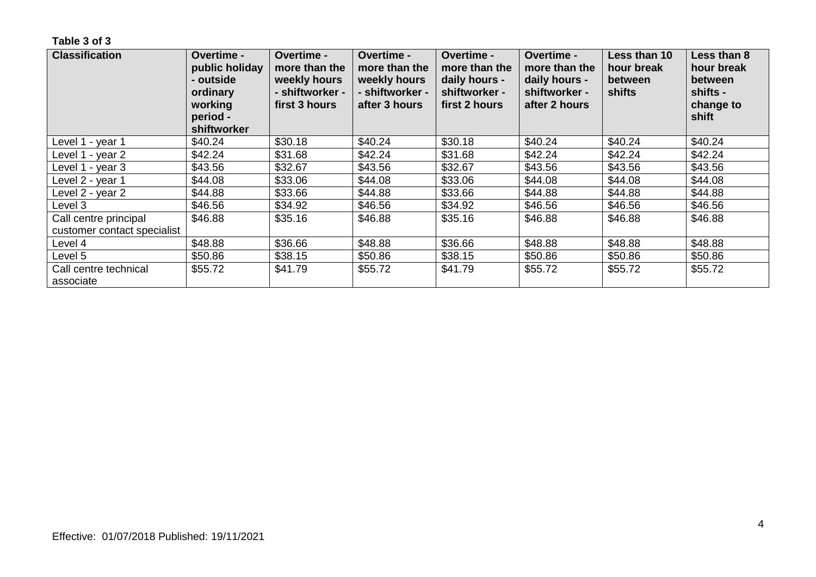| <b>Classification</b>                                | Overtime -<br>public holiday<br>- outside<br>ordinary<br>working<br>period -<br>shiftworker | <b>Overtime -</b><br>more than the<br>weekly hours<br>- shiftworker -<br>first 3 hours | <b>Overtime -</b><br>more than the<br>weekly hours<br>- shiftworker -<br>after 3 hours | <b>Overtime -</b><br>more than the<br>daily hours -<br>shiftworker -<br>first 2 hours | <b>Overtime -</b><br>more than the<br>daily hours -<br>shiftworker -<br>after 2 hours | Less than 10<br>hour break<br>between<br>shifts | Less than 8<br>hour break<br><b>between</b><br>shifts -<br>change to<br>shift |
|------------------------------------------------------|---------------------------------------------------------------------------------------------|----------------------------------------------------------------------------------------|----------------------------------------------------------------------------------------|---------------------------------------------------------------------------------------|---------------------------------------------------------------------------------------|-------------------------------------------------|-------------------------------------------------------------------------------|
| Level 1 - year 1                                     | \$40.24                                                                                     | \$30.18                                                                                | \$40.24                                                                                | \$30.18                                                                               | \$40.24                                                                               | \$40.24                                         | \$40.24                                                                       |
| Level 1 - year 2                                     | \$42.24                                                                                     | \$31.68                                                                                | \$42.24                                                                                | \$31.68                                                                               | \$42.24                                                                               | \$42.24                                         | \$42.24                                                                       |
| Level 1 - year 3                                     | \$43.56                                                                                     | \$32.67                                                                                | \$43.56                                                                                | \$32.67                                                                               | \$43.56                                                                               | \$43.56                                         | \$43.56                                                                       |
| Level 2 - year 1                                     | \$44.08                                                                                     | \$33.06                                                                                | \$44.08                                                                                | \$33.06                                                                               | \$44.08                                                                               | \$44.08                                         | \$44.08                                                                       |
| Level 2 - year 2                                     | \$44.88                                                                                     | \$33.66                                                                                | \$44.88                                                                                | \$33.66                                                                               | \$44.88                                                                               | \$44.88                                         | \$44.88                                                                       |
| Level 3                                              | \$46.56                                                                                     | \$34.92                                                                                | \$46.56                                                                                | \$34.92                                                                               | \$46.56                                                                               | \$46.56                                         | \$46.56                                                                       |
| Call centre principal<br>customer contact specialist | \$46.88                                                                                     | \$35.16                                                                                | \$46.88                                                                                | \$35.16                                                                               | \$46.88                                                                               | \$46.88                                         | \$46.88                                                                       |
| Level 4                                              | \$48.88                                                                                     | \$36.66                                                                                | \$48.88                                                                                | \$36.66                                                                               | \$48.88                                                                               | \$48.88                                         | \$48.88                                                                       |
| Level 5                                              | \$50.86                                                                                     | \$38.15                                                                                | \$50.86                                                                                | \$38.15                                                                               | \$50.86                                                                               | \$50.86                                         | \$50.86                                                                       |
| Call centre technical<br>associate                   | \$55.72                                                                                     | \$41.79                                                                                | \$55.72                                                                                | \$41.79                                                                               | \$55.72                                                                               | \$55.72                                         | \$55.72                                                                       |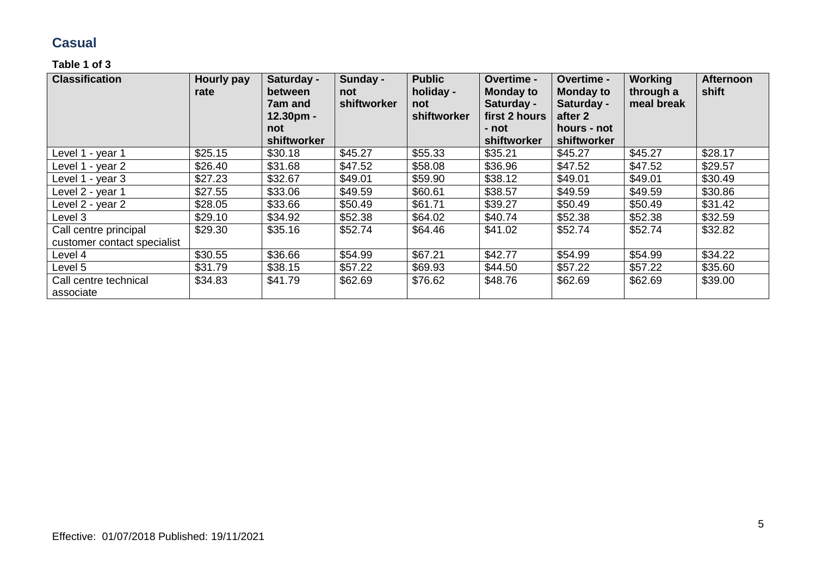### **Casual**

| <b>Classification</b>                                | Hourly pay<br>rate | Saturday -<br>between<br><b>7am and</b><br>12.30pm -<br>not<br>shiftworker | Sunday -<br>not<br>shiftworker | <b>Public</b><br>holiday -<br>not<br>shiftworker | Overtime -<br><b>Monday to</b><br>Saturday -<br>first 2 hours<br>- not<br>shiftworker | Overtime -<br><b>Monday to</b><br>Saturday -<br>after 2<br>hours - not<br>shiftworker | <b>Working</b><br>through a<br>meal break | <b>Afternoon</b><br>shift |
|------------------------------------------------------|--------------------|----------------------------------------------------------------------------|--------------------------------|--------------------------------------------------|---------------------------------------------------------------------------------------|---------------------------------------------------------------------------------------|-------------------------------------------|---------------------------|
| Level 1 - year 1                                     | \$25.15            | \$30.18                                                                    | \$45.27                        | \$55.33                                          | \$35.21                                                                               | \$45.27                                                                               | \$45.27                                   | \$28.17                   |
| Level 1 - year 2                                     | \$26.40            | \$31.68                                                                    | \$47.52                        | \$58.08                                          | \$36.96                                                                               | \$47.52                                                                               | \$47.52                                   | \$29.57                   |
| Level 1 - year 3                                     | \$27.23            | \$32.67                                                                    | \$49.01                        | \$59.90                                          | \$38.12                                                                               | \$49.01                                                                               | \$49.01                                   | \$30.49                   |
| Level 2 - year 1                                     | \$27.55            | \$33.06                                                                    | \$49.59                        | \$60.61                                          | \$38.57                                                                               | \$49.59                                                                               | \$49.59                                   | \$30.86                   |
| Level 2 - year 2                                     | \$28.05            | \$33.66                                                                    | \$50.49                        | \$61.71                                          | \$39.27                                                                               | \$50.49                                                                               | \$50.49                                   | \$31.42                   |
| Level 3                                              | \$29.10            | \$34.92                                                                    | \$52.38                        | \$64.02                                          | \$40.74                                                                               | \$52.38                                                                               | \$52.38                                   | \$32.59                   |
| Call centre principal<br>customer contact specialist | \$29.30            | \$35.16                                                                    | \$52.74                        | \$64.46                                          | \$41.02                                                                               | \$52.74                                                                               | \$52.74                                   | \$32.82                   |
| Level 4                                              | \$30.55            | \$36.66                                                                    | \$54.99                        | \$67.21                                          | \$42.77                                                                               | \$54.99                                                                               | \$54.99                                   | \$34.22                   |
| Level 5                                              | \$31.79            | \$38.15                                                                    | \$57.22                        | \$69.93                                          | \$44.50                                                                               | \$57.22                                                                               | \$57.22                                   | \$35.60                   |
| Call centre technical<br>associate                   | \$34.83            | \$41.79                                                                    | \$62.69                        | \$76.62                                          | \$48.76                                                                               | \$62.69                                                                               | \$62.69                                   | \$39.00                   |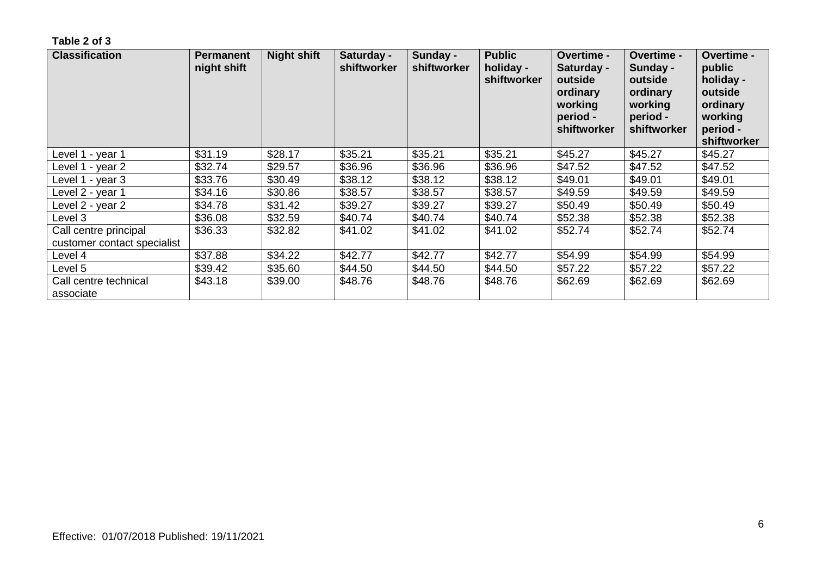| <b>Classification</b>                                | <b>Permanent</b><br>night shift | <b>Night shift</b> | Saturday -<br>shiftworker | Sunday -<br>shiftworker | <b>Public</b><br>holiday -<br>shiftworker | <b>Overtime -</b><br>Saturday -<br>outside<br>ordinary<br>working<br>period -<br>shiftworker | <b>Overtime -</b><br>Sunday -<br>outside<br>ordinary<br>working<br>period -<br>shiftworker | Overtime -<br>public<br>holiday -<br>outside<br>ordinary<br>working<br>period -<br>shiftworker |
|------------------------------------------------------|---------------------------------|--------------------|---------------------------|-------------------------|-------------------------------------------|----------------------------------------------------------------------------------------------|--------------------------------------------------------------------------------------------|------------------------------------------------------------------------------------------------|
| Level 1 - year 1                                     | \$31.19                         | \$28.17            | \$35.21                   | \$35.21                 | \$35.21                                   | \$45.27                                                                                      | \$45.27                                                                                    | \$45.27                                                                                        |
| Level 1 - year 2                                     | \$32.74                         | \$29.57            | \$36.96                   | \$36.96                 | \$36.96                                   | \$47.52                                                                                      | \$47.52                                                                                    | \$47.52                                                                                        |
| Level 1 - year 3                                     | \$33.76                         | \$30.49            | \$38.12                   | \$38.12                 | \$38.12                                   | \$49.01                                                                                      | \$49.01                                                                                    | \$49.01                                                                                        |
| Level 2 - year 1                                     | \$34.16                         | \$30.86            | \$38.57                   | \$38.57                 | \$38.57                                   | \$49.59                                                                                      | \$49.59                                                                                    | \$49.59                                                                                        |
| Level 2 - year 2                                     | \$34.78                         | \$31.42            | \$39.27                   | \$39.27                 | \$39.27                                   | \$50.49                                                                                      | \$50.49                                                                                    | \$50.49                                                                                        |
| Level 3                                              | \$36.08                         | \$32.59            | \$40.74                   | \$40.74                 | \$40.74                                   | \$52.38                                                                                      | \$52.38                                                                                    | \$52.38                                                                                        |
| Call centre principal<br>customer contact specialist | \$36.33                         | \$32.82            | \$41.02                   | \$41.02                 | \$41.02                                   | \$52.74                                                                                      | \$52.74                                                                                    | \$52.74                                                                                        |
| Level 4                                              | \$37.88                         | \$34.22            | \$42.77                   | \$42.77                 | \$42.77                                   | \$54.99                                                                                      | \$54.99                                                                                    | \$54.99                                                                                        |
| Level 5                                              | \$39.42                         | \$35.60            | \$44.50                   | \$44.50                 | \$44.50                                   | \$57.22                                                                                      | \$57.22                                                                                    | \$57.22                                                                                        |
| Call centre technical<br>associate                   | \$43.18                         | \$39.00            | \$48.76                   | \$48.76                 | \$48.76                                   | \$62.69                                                                                      | \$62.69                                                                                    | \$62.69                                                                                        |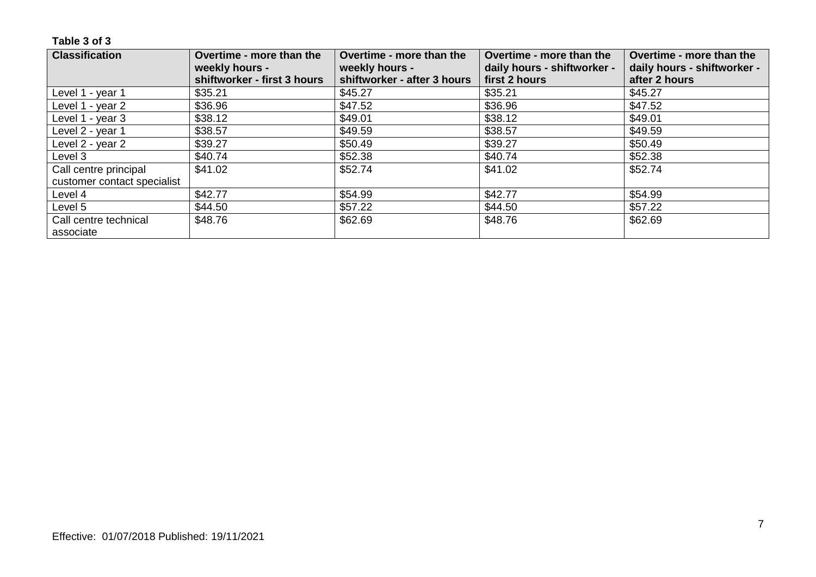| <b>Classification</b>       | Overtime - more than the<br>weekly hours - | Overtime - more than the<br>weekly hours - | Overtime - more than the<br>daily hours - shiftworker - | Overtime - more than the<br>daily hours - shiftworker - |
|-----------------------------|--------------------------------------------|--------------------------------------------|---------------------------------------------------------|---------------------------------------------------------|
|                             | shiftworker - first 3 hours                | shiftworker - after 3 hours                | first 2 hours                                           | after 2 hours                                           |
| Level 1 - year 1            | \$35.21                                    | \$45.27                                    | \$35.21                                                 | \$45.27                                                 |
| Level 1 - year 2            | \$36.96                                    | \$47.52                                    | \$36.96                                                 | \$47.52                                                 |
| Level 1 - year 3            | \$38.12                                    | \$49.01                                    | \$38.12                                                 | \$49.01                                                 |
| Level 2 - year 1            | \$38.57                                    | \$49.59                                    | \$38.57                                                 | \$49.59                                                 |
| Level 2 - year 2            | \$39.27                                    | \$50.49                                    | \$39.27                                                 | \$50.49                                                 |
| Level 3                     | \$40.74                                    | \$52.38                                    | \$40.74                                                 | \$52.38                                                 |
| Call centre principal       | \$41.02                                    | \$52.74                                    | \$41.02                                                 | \$52.74                                                 |
| customer contact specialist |                                            |                                            |                                                         |                                                         |
| Level 4                     | \$42.77                                    | \$54.99                                    | \$42.77                                                 | \$54.99                                                 |
| Level 5                     | \$44.50                                    | \$57.22                                    | \$44.50                                                 | \$57.22                                                 |
| Call centre technical       | \$48.76                                    | \$62.69                                    | \$48.76                                                 | \$62.69                                                 |
| associate                   |                                            |                                            |                                                         |                                                         |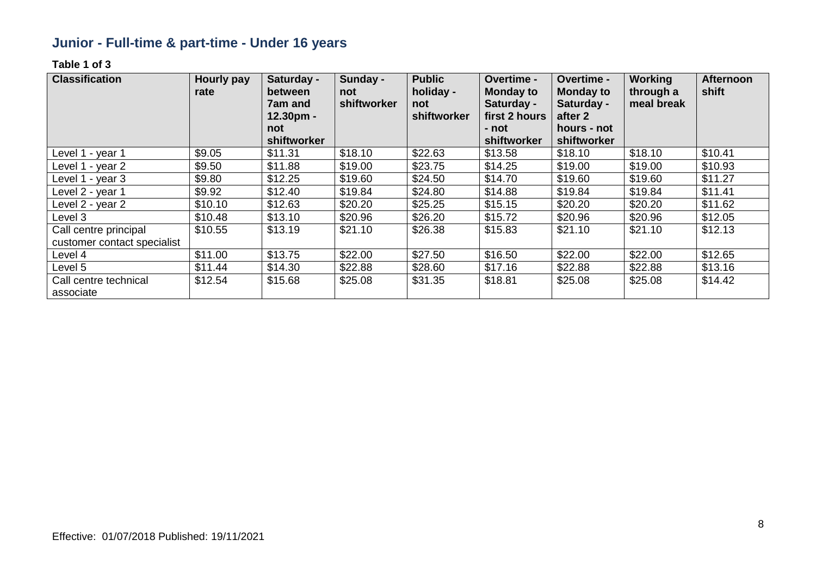# **Junior - Full-time & part-time - Under 16 years**

| <b>Classification</b>                                | <b>Hourly pay</b><br>rate | Saturday -<br>between<br><b>7am and</b><br>$12.30pm -$<br>not | Sunday -<br>not<br>shiftworker | <b>Public</b><br>holiday -<br>not<br>shiftworker | Overtime -<br><b>Monday to</b><br>Saturday -<br>first 2 hours<br>- not | Overtime -<br><b>Monday to</b><br>Saturday -<br>after 2<br>hours - not | <b>Working</b><br>through a<br>meal break | <b>Afternoon</b><br>shift |
|------------------------------------------------------|---------------------------|---------------------------------------------------------------|--------------------------------|--------------------------------------------------|------------------------------------------------------------------------|------------------------------------------------------------------------|-------------------------------------------|---------------------------|
| Level 1 - year 1                                     | \$9.05                    | shiftworker<br>\$11.31                                        | \$18.10                        | \$22.63                                          | shiftworker<br>\$13.58                                                 | shiftworker<br>\$18.10                                                 | \$18.10                                   | \$10.41                   |
| Level 1 - year 2                                     | \$9.50                    | \$11.88                                                       | \$19.00                        | \$23.75                                          | \$14.25                                                                | \$19.00                                                                | \$19.00                                   | \$10.93                   |
| Level 1 - year 3                                     | \$9.80                    | \$12.25                                                       | \$19.60                        | \$24.50                                          | \$14.70                                                                | \$19.60                                                                | \$19.60                                   | \$11.27                   |
| Level 2 - year 1                                     | \$9.92                    | \$12.40                                                       | \$19.84                        | \$24.80                                          | \$14.88                                                                | \$19.84                                                                | \$19.84                                   | \$11.41                   |
| Level 2 - year 2                                     | \$10.10                   | \$12.63                                                       | \$20.20                        | \$25.25                                          | \$15.15                                                                | \$20.20                                                                | \$20.20                                   | \$11.62                   |
| Level 3                                              | \$10.48                   | \$13.10                                                       | \$20.96                        | \$26.20                                          | \$15.72                                                                | \$20.96                                                                | \$20.96                                   | \$12.05                   |
| Call centre principal<br>customer contact specialist | \$10.55                   | \$13.19                                                       | \$21.10                        | \$26.38                                          | \$15.83                                                                | \$21.10                                                                | \$21.10                                   | \$12.13                   |
| Level 4                                              | \$11.00                   | \$13.75                                                       | \$22.00                        | \$27.50                                          | \$16.50                                                                | \$22.00                                                                | \$22.00                                   | \$12.65                   |
| Level 5                                              | \$11.44                   | \$14.30                                                       | \$22.88                        | \$28.60                                          | \$17.16                                                                | \$22.88                                                                | \$22.88                                   | \$13.16                   |
| Call centre technical<br>associate                   | \$12.54                   | \$15.68                                                       | \$25.08                        | \$31.35                                          | \$18.81                                                                | \$25.08                                                                | \$25.08                                   | \$14.42                   |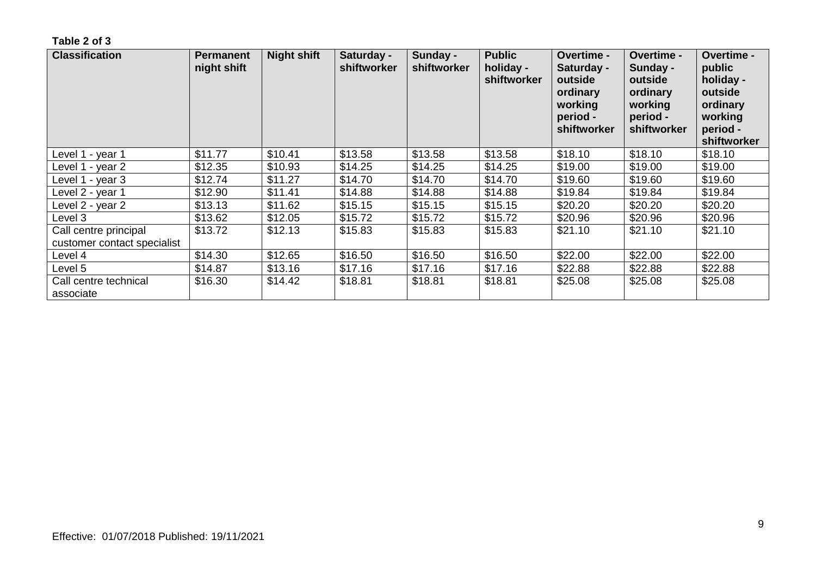| <b>Classification</b>                                | <b>Permanent</b><br>night shift | <b>Night shift</b> | Saturday -<br>shiftworker | Sunday -<br>shiftworker | <b>Public</b><br>holiday -<br>shiftworker | Overtime -<br>Saturday -<br>outside<br>ordinary<br>working<br>period -<br>shiftworker | <b>Overtime -</b><br>Sunday -<br>outside<br>ordinary<br>working<br>period -<br>shiftworker | Overtime -<br>public<br>holiday -<br>outside<br>ordinary<br>working<br>period -<br>shiftworker |
|------------------------------------------------------|---------------------------------|--------------------|---------------------------|-------------------------|-------------------------------------------|---------------------------------------------------------------------------------------|--------------------------------------------------------------------------------------------|------------------------------------------------------------------------------------------------|
| Level 1 - year 1                                     | \$11.77                         | \$10.41            | \$13.58                   | \$13.58                 | \$13.58                                   | \$18.10                                                                               | \$18.10                                                                                    | \$18.10                                                                                        |
| Level 1 - year 2                                     | \$12.35                         | \$10.93            | \$14.25                   | \$14.25                 | \$14.25                                   | \$19.00                                                                               | \$19.00                                                                                    | \$19.00                                                                                        |
| Level 1 - year 3                                     | \$12.74                         | \$11.27            | \$14.70                   | \$14.70                 | \$14.70                                   | \$19.60                                                                               | \$19.60                                                                                    | \$19.60                                                                                        |
| Level 2 - year 1                                     | \$12.90                         | \$11.41            | \$14.88                   | \$14.88                 | \$14.88                                   | \$19.84                                                                               | \$19.84                                                                                    | \$19.84                                                                                        |
| Level 2 - year 2                                     | \$13.13                         | \$11.62            | \$15.15                   | \$15.15                 | \$15.15                                   | \$20.20                                                                               | \$20.20                                                                                    | \$20.20                                                                                        |
| Level 3                                              | \$13.62                         | \$12.05            | \$15.72                   | \$15.72                 | \$15.72                                   | \$20.96                                                                               | \$20.96                                                                                    | \$20.96                                                                                        |
| Call centre principal<br>customer contact specialist | \$13.72                         | \$12.13            | \$15.83                   | \$15.83                 | \$15.83                                   | \$21.10                                                                               | \$21.10                                                                                    | \$21.10                                                                                        |
| Level 4                                              | \$14.30                         | \$12.65            | \$16.50                   | \$16.50                 | \$16.50                                   | \$22.00                                                                               | \$22.00                                                                                    | \$22.00                                                                                        |
| Level 5                                              | \$14.87                         | \$13.16            | \$17.16                   | \$17.16                 | \$17.16                                   | \$22.88                                                                               | \$22.88                                                                                    | \$22.88                                                                                        |
| Call centre technical<br>associate                   | \$16.30                         | \$14.42            | \$18.81                   | \$18.81                 | \$18.81                                   | \$25.08                                                                               | \$25.08                                                                                    | \$25.08                                                                                        |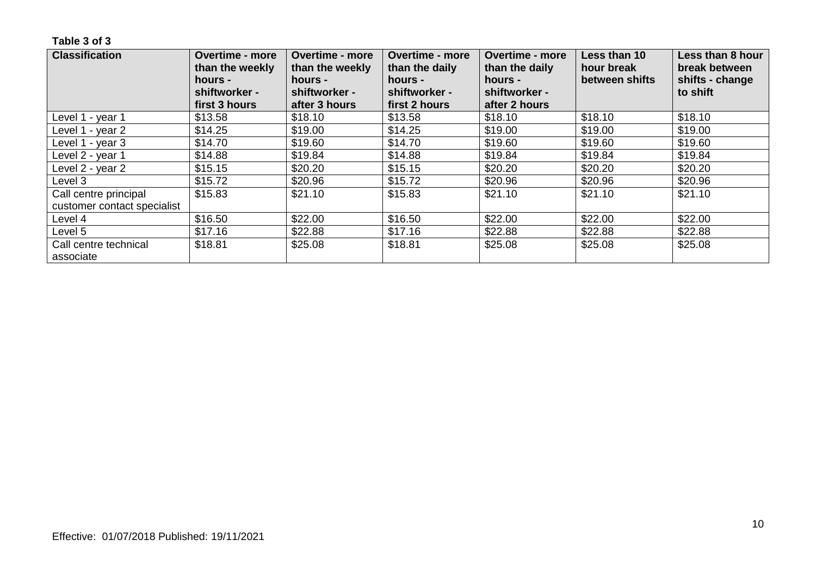| <b>Classification</b>              | <b>Overtime - more</b><br>than the weekly<br>hours - | <b>Overtime - more</b><br>than the weekly<br>hours - | <b>Overtime - more</b><br>than the daily<br>hours - | <b>Overtime - more</b><br>than the daily<br>hours - | Less than 10<br>hour break<br>between shifts | Less than 8 hour<br>break between<br>shifts - change |
|------------------------------------|------------------------------------------------------|------------------------------------------------------|-----------------------------------------------------|-----------------------------------------------------|----------------------------------------------|------------------------------------------------------|
|                                    | shiftworker -<br>first 3 hours                       | shiftworker -<br>after 3 hours                       | shiftworker -<br>first 2 hours                      | shiftworker -<br>after 2 hours                      |                                              | to shift                                             |
| Level 1 - year 1                   | \$13.58                                              | \$18.10                                              | \$13.58                                             | \$18.10                                             | \$18.10                                      | \$18.10                                              |
| Level 1 - year 2                   | \$14.25                                              | \$19.00                                              | \$14.25                                             | \$19.00                                             | \$19.00                                      | \$19.00                                              |
| Level 1 - year 3                   | \$14.70                                              | \$19.60                                              | \$14.70                                             | \$19.60                                             | \$19.60                                      | \$19.60                                              |
| Level 2 - year 1                   | \$14.88                                              | \$19.84                                              | \$14.88                                             | \$19.84                                             | \$19.84                                      | \$19.84                                              |
| Level 2 - year 2                   | \$15.15                                              | \$20.20                                              | \$15.15                                             | \$20.20                                             | \$20.20                                      | \$20.20                                              |
| Level 3                            | \$15.72                                              | \$20.96                                              | \$15.72                                             | \$20.96                                             | \$20.96                                      | \$20.96                                              |
| Call centre principal              | \$15.83                                              | \$21.10                                              | \$15.83                                             | \$21.10                                             | \$21.10                                      | \$21.10                                              |
| customer contact specialist        |                                                      |                                                      |                                                     |                                                     |                                              |                                                      |
| Level 4                            | \$16.50                                              | \$22.00                                              | \$16.50                                             | \$22.00                                             | \$22.00                                      | \$22.00                                              |
| Level 5                            | \$17.16                                              | \$22.88                                              | \$17.16                                             | \$22.88                                             | \$22.88                                      | \$22.88                                              |
| Call centre technical<br>associate | \$18.81                                              | \$25.08                                              | \$18.81                                             | \$25.08                                             | \$25.08                                      | \$25.08                                              |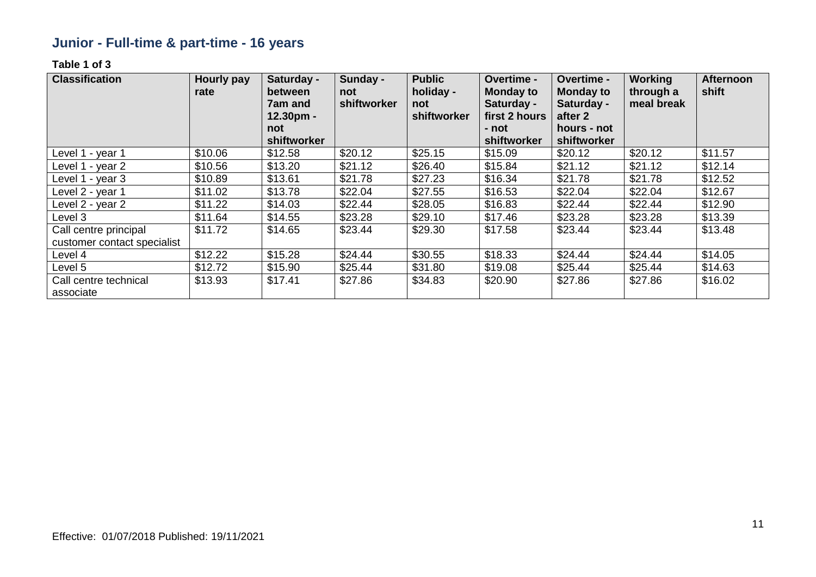# **Junior - Full-time & part-time - 16 years**

| <b>Classification</b>                                | <b>Hourly pay</b><br>rate | Saturday -<br>between<br><b>7am and</b><br>12.30pm -<br>not<br>shiftworker | Sunday -<br>not<br>shiftworker | <b>Public</b><br>holiday -<br>not<br>shiftworker | Overtime -<br><b>Monday to</b><br>Saturday -<br>first 2 hours<br>- not<br>shiftworker | Overtime -<br><b>Monday to</b><br>Saturday -<br>after 2<br>hours - not<br>shiftworker | <b>Working</b><br>through a<br>meal break | <b>Afternoon</b><br>shift |
|------------------------------------------------------|---------------------------|----------------------------------------------------------------------------|--------------------------------|--------------------------------------------------|---------------------------------------------------------------------------------------|---------------------------------------------------------------------------------------|-------------------------------------------|---------------------------|
| Level 1 - year 1                                     | \$10.06                   | \$12.58                                                                    | \$20.12                        | \$25.15                                          | \$15.09                                                                               | \$20.12                                                                               | \$20.12                                   | \$11.57                   |
| Level 1 - year 2                                     | \$10.56                   | \$13.20                                                                    | \$21.12                        | \$26.40                                          | \$15.84                                                                               | \$21.12                                                                               | \$21.12                                   | \$12.14                   |
| Level 1 - year 3                                     | \$10.89                   | \$13.61                                                                    | \$21.78                        | \$27.23                                          | \$16.34                                                                               | \$21.78                                                                               | \$21.78                                   | \$12.52                   |
| Level 2 - year 1                                     | \$11.02                   | \$13.78                                                                    | \$22.04                        | \$27.55                                          | \$16.53                                                                               | \$22.04                                                                               | \$22.04                                   | \$12.67                   |
| Level 2 - year 2                                     | \$11.22                   | \$14.03                                                                    | \$22.44                        | \$28.05                                          | \$16.83                                                                               | \$22.44                                                                               | \$22.44                                   | \$12.90                   |
| Level 3                                              | \$11.64                   | \$14.55                                                                    | \$23.28                        | \$29.10                                          | \$17.46                                                                               | \$23.28                                                                               | \$23.28                                   | \$13.39                   |
| Call centre principal<br>customer contact specialist | \$11.72                   | \$14.65                                                                    | \$23.44                        | \$29.30                                          | \$17.58                                                                               | \$23.44                                                                               | \$23.44                                   | \$13.48                   |
| Level 4                                              | \$12.22                   | \$15.28                                                                    | \$24.44                        | \$30.55                                          | \$18.33                                                                               | \$24.44                                                                               | \$24.44                                   | \$14.05                   |
| Level 5                                              | \$12.72                   | \$15.90                                                                    | \$25.44                        | \$31.80                                          | \$19.08                                                                               | \$25.44                                                                               | \$25.44                                   | \$14.63                   |
| Call centre technical<br>associate                   | \$13.93                   | \$17.41                                                                    | \$27.86                        | \$34.83                                          | \$20.90                                                                               | \$27.86                                                                               | \$27.86                                   | \$16.02                   |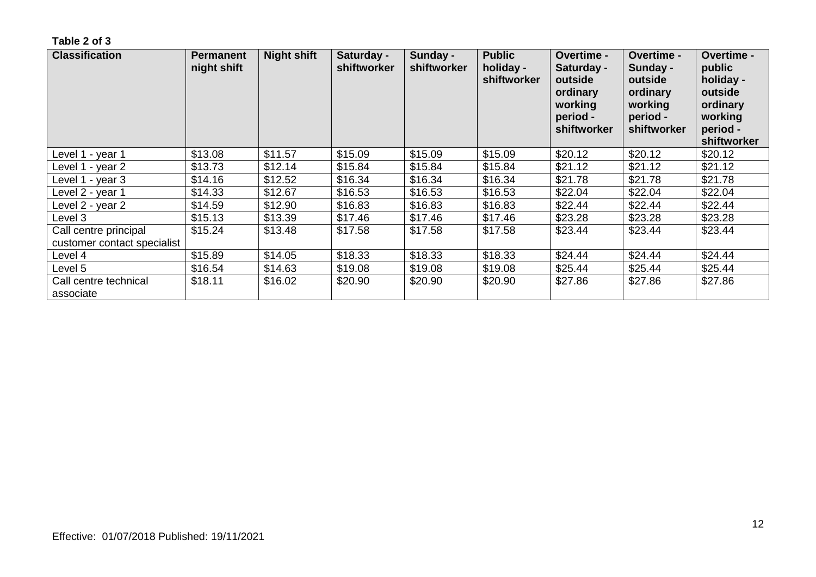| <b>Classification</b>                                | <b>Permanent</b><br>night shift | <b>Night shift</b> | Saturday -<br>shiftworker | Sunday -<br>shiftworker | <b>Public</b><br>holiday -<br>shiftworker | <b>Overtime -</b><br>Saturday -<br>outside<br>ordinary<br>working<br>period -<br>shiftworker | Overtime -<br>Sunday -<br>outside<br>ordinary<br>working<br>period -<br>shiftworker | Overtime -<br>public<br>holiday -<br>outside<br>ordinary<br>working<br>period -<br>shiftworker |
|------------------------------------------------------|---------------------------------|--------------------|---------------------------|-------------------------|-------------------------------------------|----------------------------------------------------------------------------------------------|-------------------------------------------------------------------------------------|------------------------------------------------------------------------------------------------|
| Level 1 - year 1                                     | \$13.08                         | \$11.57            | \$15.09                   | \$15.09                 | \$15.09                                   | \$20.12                                                                                      | \$20.12                                                                             | \$20.12                                                                                        |
| Level 1 - year 2                                     | \$13.73                         | \$12.14            | \$15.84                   | \$15.84                 | \$15.84                                   | \$21.12                                                                                      | \$21.12                                                                             | \$21.12                                                                                        |
| Level 1 - year 3                                     | \$14.16                         | \$12.52            | \$16.34                   | \$16.34                 | \$16.34                                   | \$21.78                                                                                      | \$21.78                                                                             | \$21.78                                                                                        |
| Level 2 - year 1                                     | \$14.33                         | \$12.67            | \$16.53                   | \$16.53                 | \$16.53                                   | \$22.04                                                                                      | \$22.04                                                                             | \$22.04                                                                                        |
| Level 2 - year 2                                     | \$14.59                         | \$12.90            | \$16.83                   | \$16.83                 | \$16.83                                   | \$22.44                                                                                      | \$22.44                                                                             | \$22.44                                                                                        |
| Level 3                                              | \$15.13                         | \$13.39            | \$17.46                   | \$17.46                 | \$17.46                                   | \$23.28                                                                                      | \$23.28                                                                             | \$23.28                                                                                        |
| Call centre principal<br>customer contact specialist | \$15.24                         | \$13.48            | \$17.58                   | \$17.58                 | \$17.58                                   | \$23.44                                                                                      | \$23.44                                                                             | \$23.44                                                                                        |
| Level 4                                              | \$15.89                         | \$14.05            | \$18.33                   | \$18.33                 | \$18.33                                   | \$24.44                                                                                      | \$24.44                                                                             | \$24.44                                                                                        |
| Level 5                                              | \$16.54                         | \$14.63            | \$19.08                   | \$19.08                 | \$19.08                                   | \$25.44                                                                                      | \$25.44                                                                             | \$25.44                                                                                        |
| Call centre technical<br>associate                   | \$18.11                         | \$16.02            | \$20.90                   | \$20.90                 | \$20.90                                   | \$27.86                                                                                      | \$27.86                                                                             | \$27.86                                                                                        |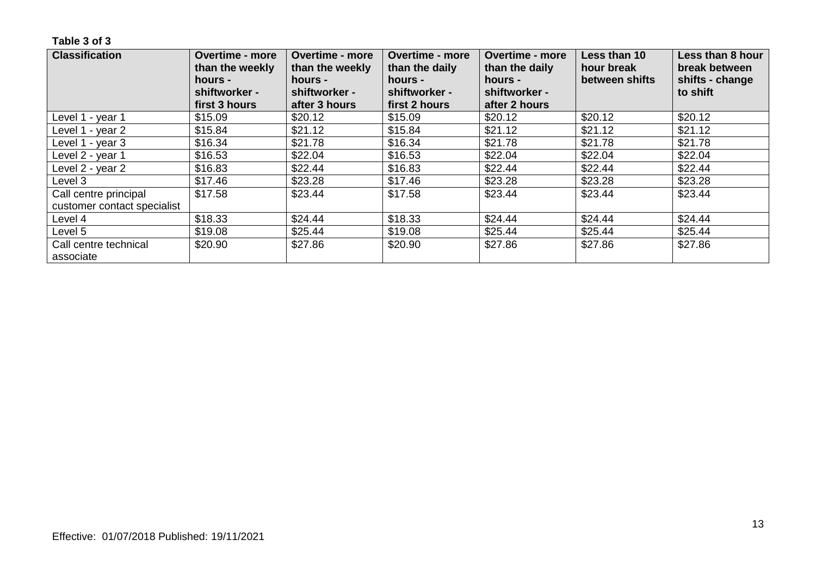| <b>Classification</b>              | <b>Overtime - more</b><br>than the weekly<br>hours - | <b>Overtime - more</b><br>than the weekly<br>hours - | <b>Overtime - more</b><br>than the daily<br>hours - | <b>Overtime - more</b><br>than the daily<br>hours - | Less than 10<br>hour break<br>between shifts | Less than 8 hour<br>break between<br>shifts - change |
|------------------------------------|------------------------------------------------------|------------------------------------------------------|-----------------------------------------------------|-----------------------------------------------------|----------------------------------------------|------------------------------------------------------|
|                                    | shiftworker -<br>first 3 hours                       | shiftworker -<br>after 3 hours                       | shiftworker -<br>first 2 hours                      | shiftworker -<br>after 2 hours                      |                                              | to shift                                             |
| Level 1 - year 1                   | \$15.09                                              | \$20.12                                              | \$15.09                                             | \$20.12                                             | \$20.12                                      | \$20.12                                              |
| Level 1 - year 2                   | \$15.84                                              | \$21.12                                              | \$15.84                                             | \$21.12                                             | \$21.12                                      | \$21.12                                              |
| Level 1 - year 3                   | \$16.34                                              | \$21.78                                              | \$16.34                                             | \$21.78                                             | \$21.78                                      | \$21.78                                              |
| Level 2 - year 1                   | \$16.53                                              | \$22.04                                              | \$16.53                                             | \$22.04                                             | \$22.04                                      | \$22.04                                              |
| Level 2 - year 2                   | \$16.83                                              | \$22.44                                              | \$16.83                                             | \$22.44                                             | \$22.44                                      | \$22.44                                              |
| Level 3                            | \$17.46                                              | \$23.28                                              | \$17.46                                             | \$23.28                                             | \$23.28                                      | \$23.28                                              |
| Call centre principal              | \$17.58                                              | \$23.44                                              | \$17.58                                             | \$23.44                                             | \$23.44                                      | \$23.44                                              |
| customer contact specialist        |                                                      |                                                      |                                                     |                                                     |                                              |                                                      |
| Level 4                            | \$18.33                                              | \$24.44                                              | \$18.33                                             | \$24.44                                             | \$24.44                                      | \$24.44                                              |
| Level 5                            | \$19.08                                              | \$25.44                                              | \$19.08                                             | \$25.44                                             | \$25.44                                      | \$25.44                                              |
| Call centre technical<br>associate | \$20.90                                              | \$27.86                                              | \$20.90                                             | \$27.86                                             | \$27.86                                      | \$27.86                                              |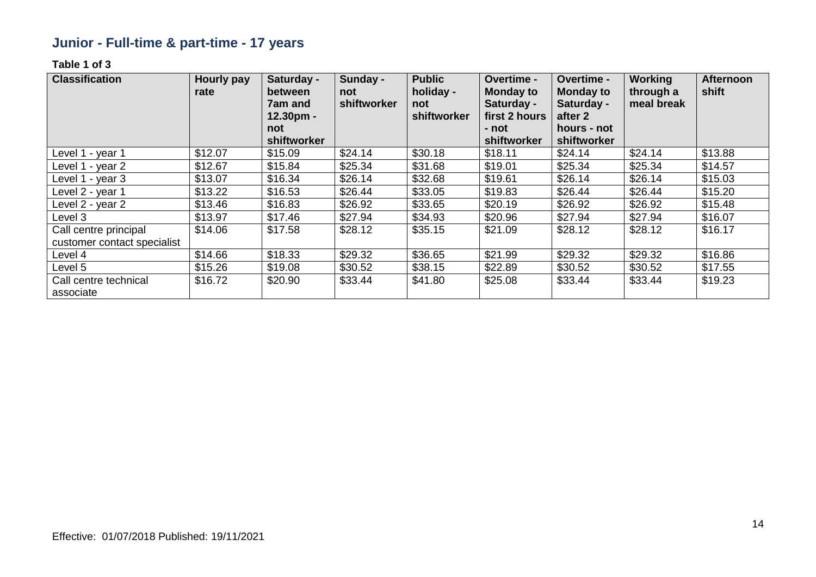# **Junior - Full-time & part-time - 17 years**

| <b>Classification</b>       | <b>Hourly pay</b><br>rate | Saturday -<br>between<br>7am and<br>12.30pm -<br>not | Sunday -<br>not<br>shiftworker | <b>Public</b><br>holiday -<br>not<br>shiftworker | Overtime -<br><b>Monday to</b><br>Saturday -<br>first 2 hours<br>- not | Overtime -<br><b>Monday to</b><br>Saturday -<br>after 2<br>hours - not | <b>Working</b><br>through a<br>meal break | <b>Afternoon</b><br>shift |
|-----------------------------|---------------------------|------------------------------------------------------|--------------------------------|--------------------------------------------------|------------------------------------------------------------------------|------------------------------------------------------------------------|-------------------------------------------|---------------------------|
| Level 1 - year 1            | \$12.07                   | shiftworker<br>\$15.09                               | \$24.14                        | \$30.18                                          | shiftworker<br>\$18.11                                                 | shiftworker<br>\$24.14                                                 | \$24.14                                   | \$13.88                   |
|                             |                           |                                                      |                                |                                                  |                                                                        |                                                                        |                                           |                           |
| Level 1 - year 2            | \$12.67                   | \$15.84                                              | \$25.34                        | \$31.68                                          | \$19.01                                                                | \$25.34                                                                | \$25.34                                   | \$14.57                   |
| Level 1 - year 3            | \$13.07                   | \$16.34                                              | \$26.14                        | \$32.68                                          | \$19.61                                                                | \$26.14                                                                | \$26.14                                   | \$15.03                   |
| Level 2 - year 1            | \$13.22                   | \$16.53                                              | \$26.44                        | \$33.05                                          | \$19.83                                                                | \$26.44                                                                | \$26.44                                   | \$15.20                   |
| Level 2 - year 2            | \$13.46                   | \$16.83                                              | \$26.92                        | \$33.65                                          | \$20.19                                                                | \$26.92                                                                | \$26.92                                   | \$15.48                   |
| Level 3                     | \$13.97                   | \$17.46                                              | \$27.94                        | \$34.93                                          | \$20.96                                                                | \$27.94                                                                | \$27.94                                   | \$16.07                   |
| Call centre principal       | \$14.06                   | \$17.58                                              | \$28.12                        | \$35.15                                          | \$21.09                                                                | \$28.12                                                                | \$28.12                                   | \$16.17                   |
| customer contact specialist |                           |                                                      |                                |                                                  |                                                                        |                                                                        |                                           |                           |
| Level 4                     | \$14.66                   | \$18.33                                              | \$29.32                        | \$36.65                                          | \$21.99                                                                | \$29.32                                                                | \$29.32                                   | \$16.86                   |
| Level 5                     | \$15.26                   | \$19.08                                              | \$30.52                        | \$38.15                                          | \$22.89                                                                | \$30.52                                                                | \$30.52                                   | \$17.55                   |
| Call centre technical       | \$16.72                   | \$20.90                                              | \$33.44                        | \$41.80                                          | \$25.08                                                                | \$33.44                                                                | \$33.44                                   | \$19.23                   |
| associate                   |                           |                                                      |                                |                                                  |                                                                        |                                                                        |                                           |                           |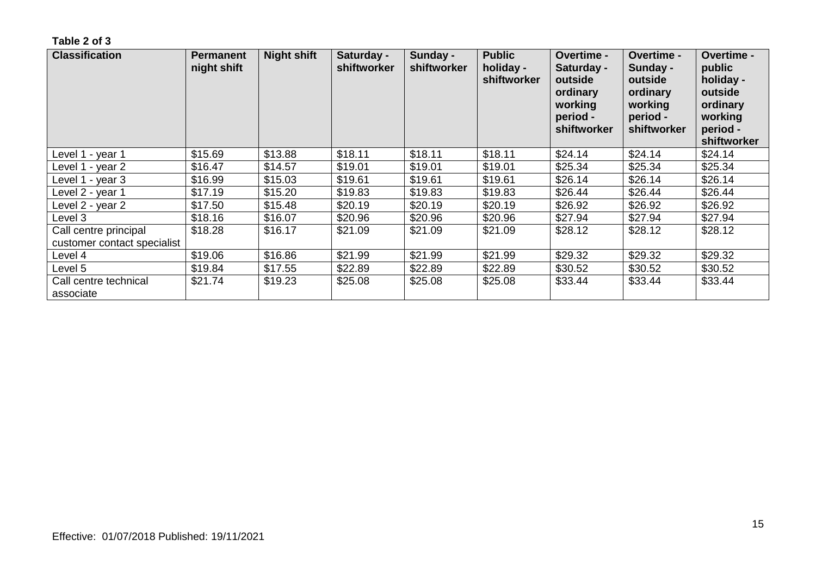| <b>Classification</b>                                | <b>Permanent</b><br>night shift | <b>Night shift</b> | Saturday -<br>shiftworker | Sunday -<br>shiftworker | <b>Public</b><br>holiday -<br>shiftworker | Overtime -<br>Saturday -<br>outside<br>ordinary<br>working<br>period -<br>shiftworker | Overtime -<br>Sunday -<br>outside<br>ordinary<br>working<br>period -<br>shiftworker | <b>Overtime -</b><br>public<br>holiday -<br>outside<br>ordinary<br>working<br>period -<br>shiftworker |
|------------------------------------------------------|---------------------------------|--------------------|---------------------------|-------------------------|-------------------------------------------|---------------------------------------------------------------------------------------|-------------------------------------------------------------------------------------|-------------------------------------------------------------------------------------------------------|
| Level 1 - year 1                                     | \$15.69                         | \$13.88            | \$18.11                   | \$18.11                 | \$18.11                                   | \$24.14                                                                               | \$24.14                                                                             | \$24.14                                                                                               |
| Level 1 - year 2                                     | \$16.47                         | \$14.57            | \$19.01                   | \$19.01                 | \$19.01                                   | \$25.34                                                                               | \$25.34                                                                             | \$25.34                                                                                               |
| Level 1 - year 3                                     | \$16.99                         | \$15.03            | \$19.61                   | \$19.61                 | \$19.61                                   | \$26.14                                                                               | \$26.14                                                                             | \$26.14                                                                                               |
| Level 2 - year 1                                     | \$17.19                         | \$15.20            | \$19.83                   | \$19.83                 | \$19.83                                   | \$26.44                                                                               | \$26.44                                                                             | \$26.44                                                                                               |
| Level 2 - year 2                                     | \$17.50                         | \$15.48            | \$20.19                   | \$20.19                 | \$20.19                                   | \$26.92                                                                               | \$26.92                                                                             | \$26.92                                                                                               |
| Level 3                                              | \$18.16                         | \$16.07            | \$20.96                   | \$20.96                 | \$20.96                                   | \$27.94                                                                               | \$27.94                                                                             | \$27.94                                                                                               |
| Call centre principal<br>customer contact specialist | \$18.28                         | \$16.17            | \$21.09                   | \$21.09                 | \$21.09                                   | \$28.12                                                                               | \$28.12                                                                             | \$28.12                                                                                               |
| Level 4                                              | \$19.06                         | \$16.86            | \$21.99                   | \$21.99                 | \$21.99                                   | \$29.32                                                                               | \$29.32                                                                             | \$29.32                                                                                               |
| Level 5                                              | \$19.84                         | \$17.55            | \$22.89                   | \$22.89                 | \$22.89                                   | \$30.52                                                                               | \$30.52                                                                             | \$30.52                                                                                               |
| Call centre technical<br>associate                   | \$21.74                         | \$19.23            | \$25.08                   | \$25.08                 | \$25.08                                   | \$33.44                                                                               | \$33.44                                                                             | \$33.44                                                                                               |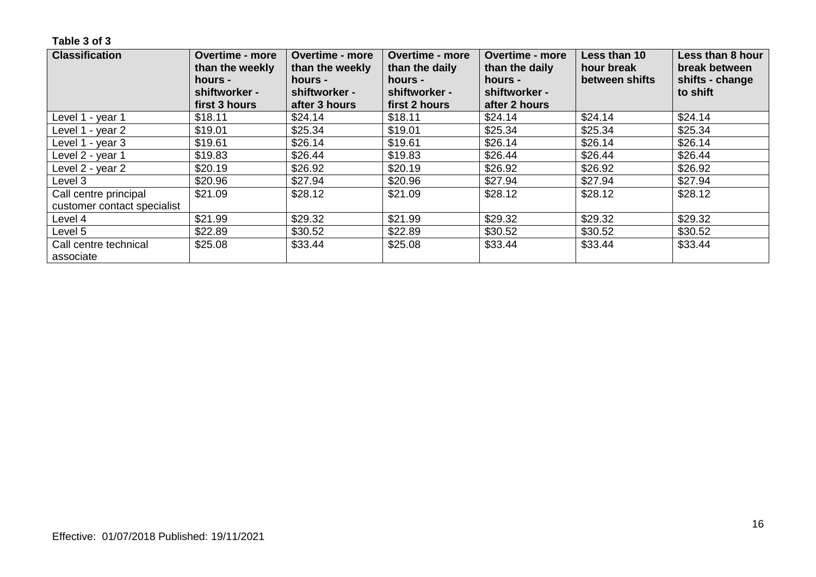| <b>Classification</b>              | <b>Overtime - more</b><br>than the weekly<br>hours -<br>shiftworker - | <b>Overtime - more</b><br>than the weekly<br>hours -<br>shiftworker - | <b>Overtime - more</b><br>than the daily<br>hours -<br>shiftworker - | <b>Overtime - more</b><br>than the daily<br>hours -<br>shiftworker - | Less than 10<br>hour break<br>between shifts | Less than 8 hour<br>break between<br>shifts - change<br>to shift |
|------------------------------------|-----------------------------------------------------------------------|-----------------------------------------------------------------------|----------------------------------------------------------------------|----------------------------------------------------------------------|----------------------------------------------|------------------------------------------------------------------|
|                                    | first 3 hours                                                         | after 3 hours                                                         | first 2 hours                                                        | after 2 hours                                                        |                                              |                                                                  |
| Level 1 - year 1                   | \$18.11                                                               | \$24.14                                                               | \$18.11                                                              | \$24.14                                                              | \$24.14                                      | \$24.14                                                          |
| Level 1 - year 2                   | \$19.01                                                               | \$25.34                                                               | \$19.01                                                              | \$25.34                                                              | \$25.34                                      | \$25.34                                                          |
| Level 1 - year 3                   | \$19.61                                                               | \$26.14                                                               | \$19.61                                                              | \$26.14                                                              | \$26.14                                      | \$26.14                                                          |
| Level 2 - year 1                   | \$19.83                                                               | \$26.44                                                               | \$19.83                                                              | \$26.44                                                              | \$26.44                                      | \$26.44                                                          |
| Level 2 - year 2                   | \$20.19                                                               | \$26.92                                                               | \$20.19                                                              | \$26.92                                                              | \$26.92                                      | \$26.92                                                          |
| Level 3                            | \$20.96                                                               | \$27.94                                                               | \$20.96                                                              | \$27.94                                                              | \$27.94                                      | \$27.94                                                          |
| Call centre principal              | \$21.09                                                               | \$28.12                                                               | \$21.09                                                              | \$28.12                                                              | \$28.12                                      | \$28.12                                                          |
| customer contact specialist        |                                                                       |                                                                       |                                                                      |                                                                      |                                              |                                                                  |
| Level 4                            | \$21.99                                                               | \$29.32                                                               | \$21.99                                                              | \$29.32                                                              | \$29.32                                      | \$29.32                                                          |
| Level 5                            | \$22.89                                                               | \$30.52                                                               | \$22.89                                                              | \$30.52                                                              | \$30.52                                      | \$30.52                                                          |
| Call centre technical<br>associate | \$25.08                                                               | \$33.44                                                               | \$25.08                                                              | \$33.44                                                              | \$33.44                                      | \$33.44                                                          |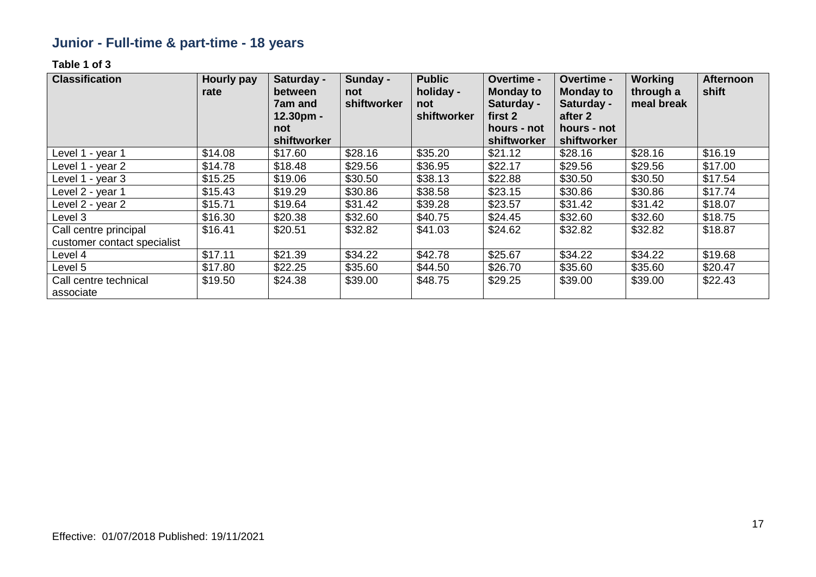# **Junior - Full-time & part-time - 18 years**

| <b>Classification</b>                                | <b>Hourly pay</b><br><b>rate</b> | Saturday -<br>between<br>7am and<br>$12.30pm -$ | Sunday -<br>not<br>shiftworker | <b>Public</b><br>holiday -<br>not<br>shiftworker | Overtime -<br><b>Monday to</b><br>Saturday -<br>first 2 | Overtime -<br><b>Monday to</b><br>Saturday -<br>after 2 | Working<br>through a<br>meal break | <b>Afternoon</b><br>shift |
|------------------------------------------------------|----------------------------------|-------------------------------------------------|--------------------------------|--------------------------------------------------|---------------------------------------------------------|---------------------------------------------------------|------------------------------------|---------------------------|
|                                                      |                                  | not                                             |                                |                                                  | hours - not                                             | hours - not                                             |                                    |                           |
|                                                      |                                  | shiftworker                                     |                                |                                                  | shiftworker                                             | shiftworker                                             |                                    |                           |
| Level 1 - year 1                                     | \$14.08                          | \$17.60                                         | \$28.16                        | \$35.20                                          | \$21.12                                                 | \$28.16                                                 | \$28.16                            | \$16.19                   |
| Level 1 - year 2                                     | \$14.78                          | \$18.48                                         | \$29.56                        | \$36.95                                          | \$22.17                                                 | \$29.56                                                 | \$29.56                            | \$17.00                   |
| Level 1 - year 3                                     | \$15.25                          | \$19.06                                         | \$30.50                        | \$38.13                                          | \$22.88                                                 | \$30.50                                                 | \$30.50                            | \$17.54                   |
| Level 2 - year 1                                     | \$15.43                          | \$19.29                                         | \$30.86                        | \$38.58                                          | \$23.15                                                 | \$30.86                                                 | \$30.86                            | \$17.74                   |
| Level 2 - year 2                                     | \$15.71                          | \$19.64                                         | \$31.42                        | \$39.28                                          | \$23.57                                                 | \$31.42                                                 | \$31.42                            | \$18.07                   |
| Level 3                                              | \$16.30                          | \$20.38                                         | \$32.60                        | \$40.75                                          | \$24.45                                                 | \$32.60                                                 | \$32.60                            | \$18.75                   |
| Call centre principal<br>customer contact specialist | \$16.41                          | \$20.51                                         | \$32.82                        | \$41.03                                          | \$24.62                                                 | \$32.82                                                 | \$32.82                            | \$18.87                   |
| Level 4                                              | \$17.11                          | \$21.39                                         | \$34.22                        | \$42.78                                          | \$25.67                                                 | \$34.22                                                 | \$34.22                            | \$19.68                   |
| Level 5                                              | \$17.80                          | \$22.25                                         | \$35.60                        | \$44.50                                          | \$26.70                                                 | \$35.60                                                 | \$35.60                            | \$20.47                   |
| Call centre technical<br>associate                   | \$19.50                          | \$24.38                                         | \$39.00                        | \$48.75                                          | \$29.25                                                 | \$39.00                                                 | \$39.00                            | \$22.43                   |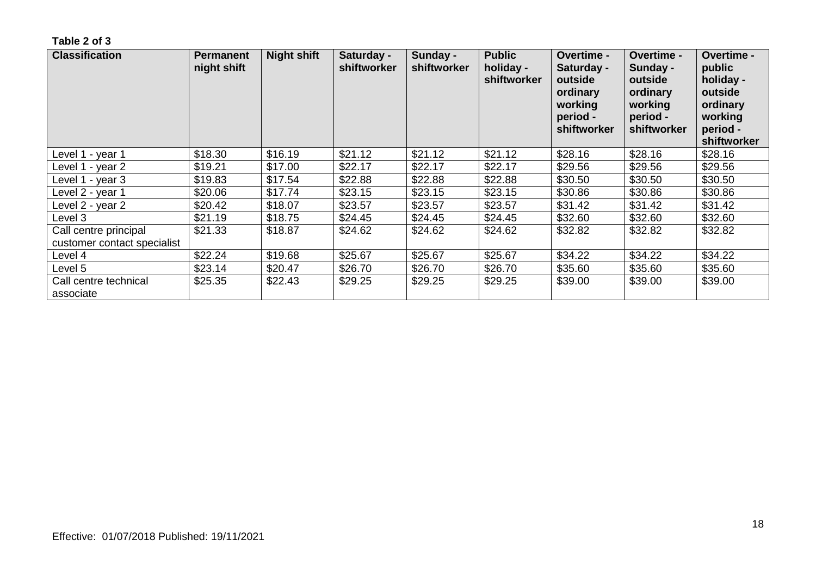| <b>Classification</b>              | <b>Permanent</b><br>night shift | <b>Night shift</b> | Saturday -<br>shiftworker | Sunday -<br>shiftworker | <b>Public</b><br>holiday -<br>shiftworker | Overtime -<br>Saturday -<br>outside<br>ordinary<br>working<br>period -<br>shiftworker | <b>Overtime -</b><br>Sunday -<br>outside<br>ordinary<br>working<br>period -<br>shiftworker | <b>Overtime -</b><br>public<br>holiday -<br>outside<br>ordinary<br>working<br>period -<br>shiftworker |
|------------------------------------|---------------------------------|--------------------|---------------------------|-------------------------|-------------------------------------------|---------------------------------------------------------------------------------------|--------------------------------------------------------------------------------------------|-------------------------------------------------------------------------------------------------------|
| Level 1 - year 1                   | \$18.30                         | \$16.19            | \$21.12                   | \$21.12                 | \$21.12                                   | \$28.16                                                                               | \$28.16                                                                                    | \$28.16                                                                                               |
| Level 1 - year 2                   | \$19.21                         | \$17.00            | \$22.17                   | \$22.17                 | \$22.17                                   | \$29.56                                                                               | \$29.56                                                                                    | \$29.56                                                                                               |
| Level 1 - year 3                   | \$19.83                         | \$17.54            | \$22.88                   | \$22.88                 | \$22.88                                   | \$30.50                                                                               | \$30.50                                                                                    | \$30.50                                                                                               |
| Level 2 - year 1                   | \$20.06                         | \$17.74            | \$23.15                   | \$23.15                 | \$23.15                                   | \$30.86                                                                               | \$30.86                                                                                    | \$30.86                                                                                               |
| Level 2 - year 2                   | \$20.42                         | \$18.07            | \$23.57                   | \$23.57                 | \$23.57                                   | \$31.42                                                                               | \$31.42                                                                                    | \$31.42                                                                                               |
| Level 3                            | \$21.19                         | \$18.75            | \$24.45                   | \$24.45                 | \$24.45                                   | \$32.60                                                                               | \$32.60                                                                                    | \$32.60                                                                                               |
| Call centre principal              | \$21.33                         | \$18.87            | \$24.62                   | \$24.62                 | \$24.62                                   | \$32.82                                                                               | \$32.82                                                                                    | \$32.82                                                                                               |
| customer contact specialist        |                                 |                    |                           |                         |                                           |                                                                                       |                                                                                            |                                                                                                       |
| Level 4                            | \$22.24                         | \$19.68            | \$25.67                   | \$25.67                 | \$25.67                                   | \$34.22                                                                               | \$34.22                                                                                    | \$34.22                                                                                               |
| Level 5                            | \$23.14                         | \$20.47            | \$26.70                   | \$26.70                 | \$26.70                                   | \$35.60                                                                               | \$35.60                                                                                    | \$35.60                                                                                               |
| Call centre technical<br>associate | \$25.35                         | \$22.43            | \$29.25                   | \$29.25                 | \$29.25                                   | \$39.00                                                                               | \$39.00                                                                                    | \$39.00                                                                                               |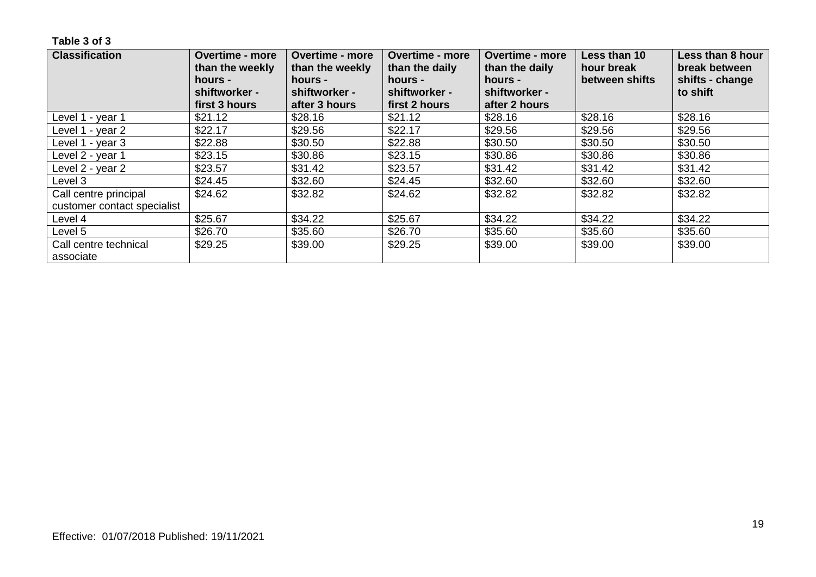| <b>Classification</b>       | <b>Overtime - more</b><br>than the weekly<br>hours - | <b>Overtime - more</b><br>than the weekly | <b>Overtime - more</b><br><b>Overtime - more</b><br>than the daily<br>than the daily<br>hours -<br>hours - |                          | Less than 10<br>hour break<br>between shifts | Less than 8 hour<br>break between<br>shifts - change |
|-----------------------------|------------------------------------------------------|-------------------------------------------|------------------------------------------------------------------------------------------------------------|--------------------------|----------------------------------------------|------------------------------------------------------|
|                             | shiftworker -                                        | shiftworker -                             | shiftworker -                                                                                              | hours -<br>shiftworker - |                                              | to shift                                             |
|                             | first 3 hours                                        | after 3 hours                             | first 2 hours                                                                                              | after 2 hours            |                                              |                                                      |
| Level 1 - year 1            | \$21.12                                              | \$28.16                                   | \$21.12                                                                                                    | \$28.16                  | \$28.16                                      | \$28.16                                              |
| Level 1 - year 2            | \$22.17                                              | \$29.56                                   | \$22.17                                                                                                    | \$29.56                  | \$29.56                                      | \$29.56                                              |
| Level 1 - year 3            | \$22.88                                              | \$30.50                                   | \$22.88                                                                                                    | \$30.50                  | \$30.50                                      | \$30.50                                              |
| Level 2 - year 1            | \$23.15                                              | \$30.86                                   | \$23.15                                                                                                    | \$30.86                  | \$30.86                                      | \$30.86                                              |
| Level 2 - year 2            | \$23.57                                              | \$31.42                                   | \$23.57                                                                                                    | \$31.42                  | \$31.42                                      | \$31.42                                              |
| Level 3                     | \$24.45                                              | \$32.60                                   | \$24.45                                                                                                    | \$32.60                  | \$32.60                                      | \$32.60                                              |
| Call centre principal       | \$24.62                                              | \$32.82                                   | \$24.62                                                                                                    | \$32.82                  | \$32.82                                      | \$32.82                                              |
| customer contact specialist |                                                      |                                           |                                                                                                            |                          |                                              |                                                      |
| Level 4                     | \$25.67                                              | \$34.22                                   | \$25.67                                                                                                    | \$34.22                  | \$34.22                                      | \$34.22                                              |
| Level 5                     | \$26.70                                              | \$35.60                                   | \$26.70                                                                                                    | \$35.60                  | \$35.60                                      | \$35.60                                              |
| Call centre technical       | \$29.25                                              | \$39.00                                   | \$29.25                                                                                                    | \$39.00                  | \$39.00                                      | \$39.00                                              |
| associate                   |                                                      |                                           |                                                                                                            |                          |                                              |                                                      |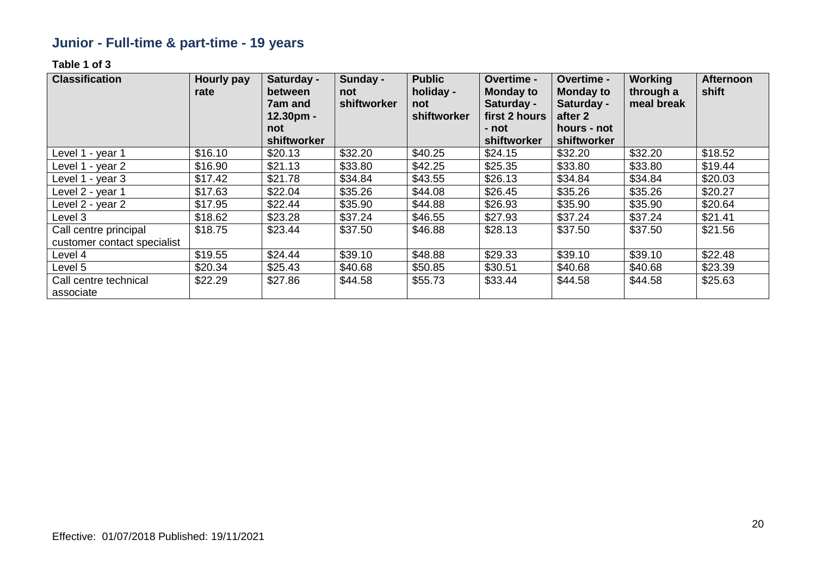# **Junior - Full-time & part-time - 19 years**

| <b>Classification</b>                                | <b>Hourly pay</b><br>rate | Saturday -<br>between<br>7am and<br>$12.30pm -$ | Sunday -<br>not<br>shiftworker | <b>Public</b><br>holiday -<br>not<br>shiftworker | Overtime -<br><b>Monday to</b><br>Saturday -<br>first 2 hours | Overtime -<br><b>Monday to</b><br>Saturday -<br>after 2 | <b>Working</b><br>through a<br>meal break | <b>Afternoon</b><br>shift |
|------------------------------------------------------|---------------------------|-------------------------------------------------|--------------------------------|--------------------------------------------------|---------------------------------------------------------------|---------------------------------------------------------|-------------------------------------------|---------------------------|
|                                                      |                           | not                                             |                                |                                                  | - not                                                         | hours - not                                             |                                           |                           |
|                                                      |                           | shiftworker                                     |                                |                                                  | shiftworker                                                   | shiftworker                                             |                                           |                           |
| Level 1 - year 1                                     | \$16.10                   | \$20.13                                         | \$32.20                        | \$40.25                                          | \$24.15                                                       | \$32.20                                                 | \$32.20                                   | \$18.52                   |
| Level 1 - year 2                                     | \$16.90                   | \$21.13                                         | \$33.80                        | \$42.25                                          | \$25.35                                                       | \$33.80                                                 | \$33.80                                   | \$19.44                   |
| Level 1 - year 3                                     | \$17.42                   | \$21.78                                         | \$34.84                        | \$43.55                                          | \$26.13                                                       | \$34.84                                                 | \$34.84                                   | \$20.03                   |
| Level 2 - year 1                                     | \$17.63                   | \$22.04                                         | \$35.26                        | \$44.08                                          | \$26.45                                                       | \$35.26                                                 | \$35.26                                   | \$20.27                   |
| Level 2 - year 2                                     | \$17.95                   | \$22.44                                         | \$35.90                        | \$44.88                                          | \$26.93                                                       | \$35.90                                                 | \$35.90                                   | \$20.64                   |
| Level 3                                              | \$18.62                   | \$23.28                                         | \$37.24                        | \$46.55                                          | \$27.93                                                       | \$37.24                                                 | \$37.24                                   | \$21.41                   |
| Call centre principal<br>customer contact specialist | \$18.75                   | \$23.44                                         | \$37.50                        | \$46.88                                          | \$28.13                                                       | \$37.50                                                 | \$37.50                                   | \$21.56                   |
| Level 4                                              | \$19.55                   | \$24.44                                         | \$39.10                        | \$48.88                                          | \$29.33                                                       | \$39.10                                                 | \$39.10                                   | \$22.48                   |
| Level 5                                              | \$20.34                   | \$25.43                                         | \$40.68                        | \$50.85                                          | \$30.51                                                       | \$40.68                                                 | \$40.68                                   | \$23.39                   |
| Call centre technical<br>associate                   | \$22.29                   | \$27.86                                         | \$44.58                        | \$55.73                                          | \$33.44                                                       | \$44.58                                                 | \$44.58                                   | \$25.63                   |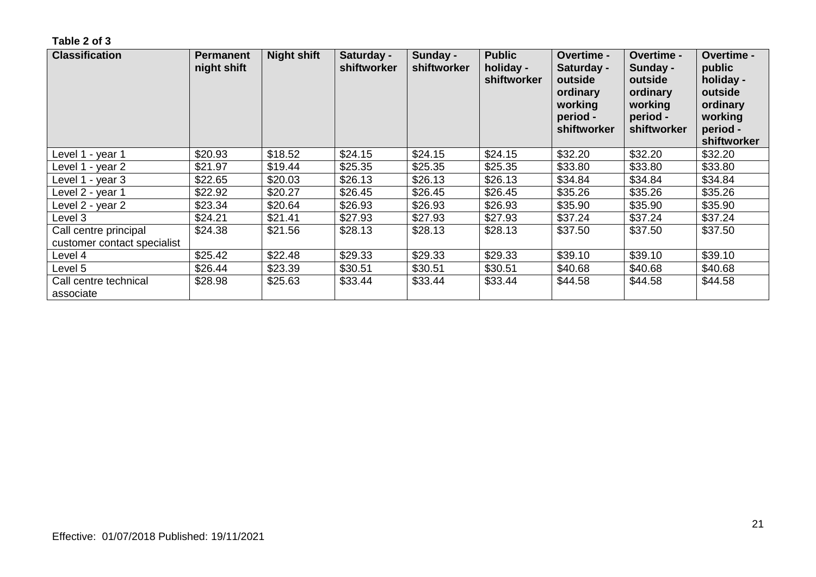| <b>Classification</b>                                | <b>Permanent</b><br>night shift | <b>Night shift</b> | Saturday -<br>shiftworker | Sunday -<br>shiftworker | <b>Public</b><br>holiday -<br>shiftworker | <b>Overtime -</b><br>Saturday -<br>outside<br>ordinary<br>working<br>period -<br>shiftworker | <b>Overtime -</b><br>Sunday -<br>outside<br>ordinary<br>working<br>period -<br>shiftworker | <b>Overtime -</b><br>public<br>holiday -<br>outside<br>ordinary<br>working<br>period -<br>shiftworker |
|------------------------------------------------------|---------------------------------|--------------------|---------------------------|-------------------------|-------------------------------------------|----------------------------------------------------------------------------------------------|--------------------------------------------------------------------------------------------|-------------------------------------------------------------------------------------------------------|
| Level 1 - year 1                                     | \$20.93                         | \$18.52            | \$24.15                   | \$24.15                 | \$24.15                                   | \$32.20                                                                                      | \$32.20                                                                                    | \$32.20                                                                                               |
| Level 1 - year 2                                     | \$21.97                         | \$19.44            | \$25.35                   | \$25.35                 | \$25.35                                   | \$33.80                                                                                      | \$33.80                                                                                    | \$33.80                                                                                               |
| Level 1 - year 3                                     | \$22.65                         | \$20.03            | \$26.13                   | \$26.13                 | \$26.13                                   | \$34.84                                                                                      | \$34.84                                                                                    | \$34.84                                                                                               |
| Level 2 - year 1                                     | \$22.92                         | \$20.27            | \$26.45                   | \$26.45                 | \$26.45                                   | \$35.26                                                                                      | \$35.26                                                                                    | \$35.26                                                                                               |
| Level 2 - year 2                                     | \$23.34                         | \$20.64            | \$26.93                   | \$26.93                 | \$26.93                                   | \$35.90                                                                                      | \$35.90                                                                                    | \$35.90                                                                                               |
| Level 3                                              | \$24.21                         | \$21.41            | \$27.93                   | \$27.93                 | \$27.93                                   | \$37.24                                                                                      | \$37.24                                                                                    | \$37.24                                                                                               |
| Call centre principal<br>customer contact specialist | \$24.38                         | \$21.56            | \$28.13                   | \$28.13                 | \$28.13                                   | \$37.50                                                                                      | \$37.50                                                                                    | \$37.50                                                                                               |
| Level 4                                              | \$25.42                         | \$22.48            | \$29.33                   | \$29.33                 | \$29.33                                   | \$39.10                                                                                      | \$39.10                                                                                    | \$39.10                                                                                               |
| Level 5                                              | \$26.44                         | \$23.39            | \$30.51                   | \$30.51                 | \$30.51                                   | \$40.68                                                                                      | \$40.68                                                                                    | \$40.68                                                                                               |
| Call centre technical<br>associate                   | \$28.98                         | \$25.63            | \$33.44                   | \$33.44                 | \$33.44                                   | \$44.58                                                                                      | \$44.58                                                                                    | \$44.58                                                                                               |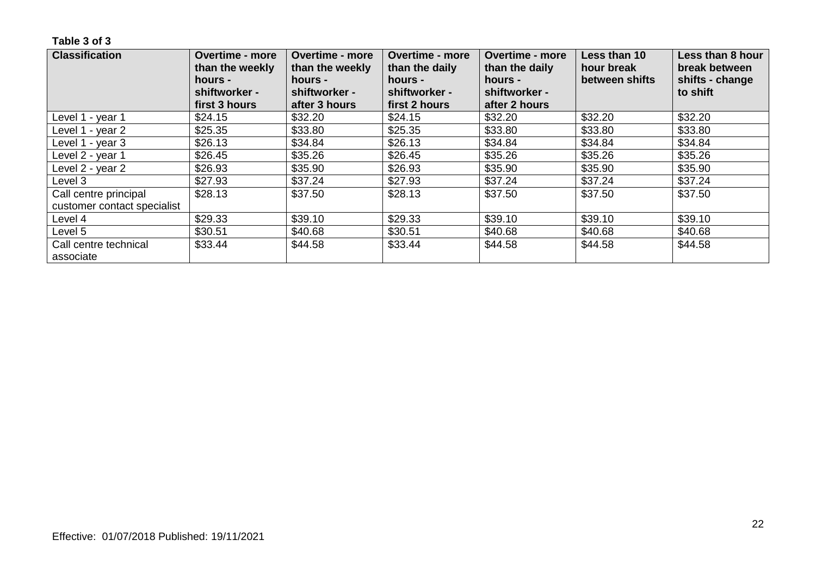| <b>Classification</b>              | <b>Overtime - more</b><br>than the weekly | <b>Overtime - more</b><br>than the weekly | <b>Overtime - more</b><br>than the daily | <b>Overtime - more</b><br>than the daily | Less than 10<br>hour break | Less than 8 hour<br>break between |
|------------------------------------|-------------------------------------------|-------------------------------------------|------------------------------------------|------------------------------------------|----------------------------|-----------------------------------|
|                                    | hours -<br>shiftworker -                  | hours -<br>shiftworker -                  | hours -<br>shiftworker -                 | hours -<br>shiftworker -                 | between shifts             | shifts - change<br>to shift       |
|                                    | first 3 hours                             | after 3 hours                             | first 2 hours                            | after 2 hours                            |                            |                                   |
| Level 1 - year 1                   | \$24.15                                   | \$32.20                                   | \$24.15                                  | \$32.20                                  | \$32.20                    | \$32.20                           |
| Level 1 - year 2                   | \$25.35                                   | \$33.80                                   | \$25.35                                  | \$33.80                                  | \$33.80                    | \$33.80                           |
| Level 1 - year 3                   | \$26.13                                   | \$34.84                                   | \$26.13                                  | \$34.84                                  | \$34.84                    | \$34.84                           |
| Level 2 - year 1                   | \$26.45                                   | \$35.26                                   | \$26.45                                  | \$35.26                                  | \$35.26                    | \$35.26                           |
| Level 2 - year 2                   | \$26.93                                   | \$35.90                                   | \$26.93                                  | \$35.90                                  | \$35.90                    | \$35.90                           |
| Level 3                            | \$27.93                                   | \$37.24                                   | \$27.93                                  | \$37.24                                  | \$37.24                    | \$37.24                           |
| Call centre principal              | \$28.13                                   | \$37.50                                   | \$28.13                                  | \$37.50                                  | \$37.50                    | \$37.50                           |
| customer contact specialist        |                                           |                                           |                                          |                                          |                            |                                   |
| Level 4                            | \$29.33                                   | \$39.10                                   | \$29.33                                  | \$39.10                                  | \$39.10                    | \$39.10                           |
| Level 5                            | \$30.51                                   | \$40.68                                   | \$30.51                                  | \$40.68                                  | \$40.68                    | \$40.68                           |
| Call centre technical<br>associate | \$33.44                                   | \$44.58                                   | \$33.44                                  | \$44.58                                  | \$44.58                    | \$44.58                           |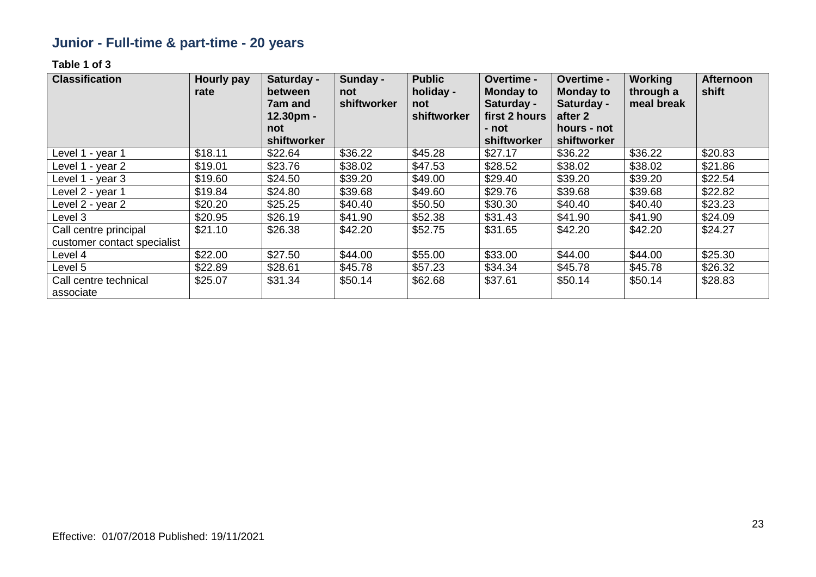# **Junior - Full-time & part-time - 20 years**

| <b>Classification</b>                                | <b>Hourly pay</b><br>rate | Saturday -<br>between<br><b>7am and</b><br>$12.30pm -$<br>not | Sunday -<br>not<br>shiftworker | <b>Public</b><br>holiday -<br>not<br>shiftworker | Overtime -<br><b>Monday to</b><br>Saturday -<br>first 2 hours<br>- not | Overtime -<br><b>Monday to</b><br>Saturday -<br>after 2<br>hours - not | <b>Working</b><br>through a<br>meal break | <b>Afternoon</b><br>shift |
|------------------------------------------------------|---------------------------|---------------------------------------------------------------|--------------------------------|--------------------------------------------------|------------------------------------------------------------------------|------------------------------------------------------------------------|-------------------------------------------|---------------------------|
|                                                      |                           | shiftworker                                                   |                                |                                                  | shiftworker                                                            | shiftworker                                                            |                                           |                           |
| Level 1 - year 1                                     | \$18.11                   | \$22.64                                                       | \$36.22                        | \$45.28                                          | \$27.17                                                                | \$36.22                                                                | \$36.22                                   | \$20.83                   |
| Level 1 - year 2                                     | \$19.01                   | \$23.76                                                       | \$38.02                        | \$47.53                                          | \$28.52                                                                | \$38.02                                                                | \$38.02                                   | \$21.86                   |
| Level 1 - year 3                                     | \$19.60                   | \$24.50                                                       | \$39.20                        | \$49.00                                          | \$29.40                                                                | \$39.20                                                                | \$39.20                                   | \$22.54                   |
| Level 2 - year 1                                     | \$19.84                   | \$24.80                                                       | \$39.68                        | \$49.60                                          | \$29.76                                                                | \$39.68                                                                | \$39.68                                   | \$22.82                   |
| Level 2 - year 2                                     | \$20.20                   | \$25.25                                                       | \$40.40                        | \$50.50                                          | \$30.30                                                                | \$40.40                                                                | \$40.40                                   | \$23.23                   |
| Level 3                                              | \$20.95                   | \$26.19                                                       | \$41.90                        | \$52.38                                          | \$31.43                                                                | \$41.90                                                                | \$41.90                                   | \$24.09                   |
| Call centre principal<br>customer contact specialist | \$21.10                   | \$26.38                                                       | \$42.20                        | \$52.75                                          | \$31.65                                                                | \$42.20                                                                | \$42.20                                   | \$24.27                   |
| Level 4                                              | \$22.00                   | \$27.50                                                       | \$44.00                        | \$55.00                                          | \$33.00                                                                | \$44.00                                                                | \$44.00                                   | \$25.30                   |
| Level 5                                              | \$22.89                   | \$28.61                                                       | \$45.78                        | \$57.23                                          | \$34.34                                                                | \$45.78                                                                | \$45.78                                   | \$26.32                   |
| Call centre technical<br>associate                   | \$25.07                   | \$31.34                                                       | \$50.14                        | \$62.68                                          | \$37.61                                                                | \$50.14                                                                | \$50.14                                   | \$28.83                   |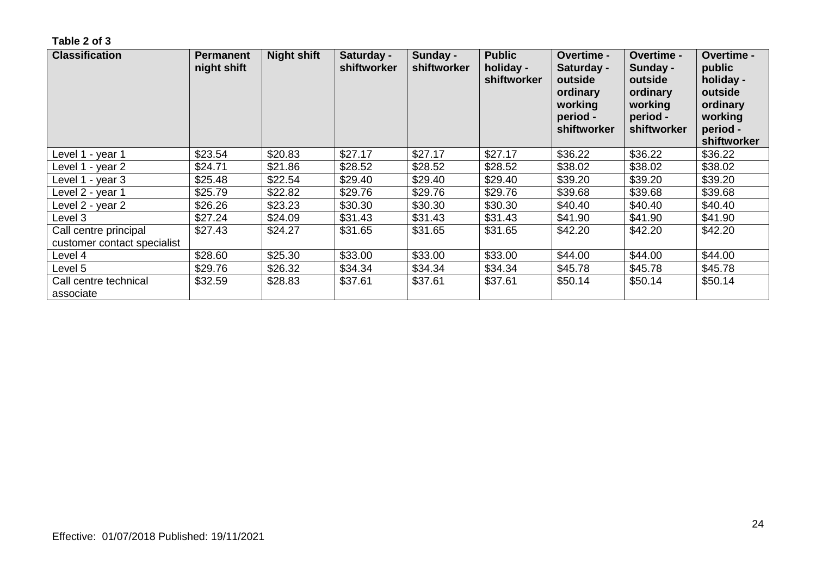| <b>Classification</b>                                | <b>Permanent</b><br>night shift | <b>Night shift</b> | Saturday -<br>shiftworker | Sunday -<br>shiftworker | <b>Public</b><br>holiday -<br>shiftworker | <b>Overtime -</b><br>Saturday -<br>outside<br>ordinary<br>working<br>period -<br>shiftworker | <b>Overtime -</b><br>Sunday -<br>outside<br>ordinary<br>working<br>period -<br>shiftworker | <b>Overtime -</b><br>public<br>holiday -<br>outside<br>ordinary<br>working<br>period -<br>shiftworker |
|------------------------------------------------------|---------------------------------|--------------------|---------------------------|-------------------------|-------------------------------------------|----------------------------------------------------------------------------------------------|--------------------------------------------------------------------------------------------|-------------------------------------------------------------------------------------------------------|
| Level 1 - year 1                                     | \$23.54                         | \$20.83            | \$27.17                   | \$27.17                 | \$27.17                                   | \$36.22                                                                                      | \$36.22                                                                                    | \$36.22                                                                                               |
| Level 1 - year 2                                     | \$24.71                         | \$21.86            | \$28.52                   | \$28.52                 | \$28.52                                   | \$38.02                                                                                      | \$38.02                                                                                    | \$38.02                                                                                               |
| Level 1 - year 3                                     | \$25.48                         | \$22.54            | \$29.40                   | \$29.40                 | \$29.40                                   | \$39.20                                                                                      | \$39.20                                                                                    | \$39.20                                                                                               |
| Level 2 - year 1                                     | \$25.79                         | \$22.82            | \$29.76                   | \$29.76                 | \$29.76                                   | \$39.68                                                                                      | \$39.68                                                                                    | \$39.68                                                                                               |
| Level 2 - year 2                                     | \$26.26                         | \$23.23            | \$30.30                   | \$30.30                 | \$30.30                                   | \$40.40                                                                                      | \$40.40                                                                                    | \$40.40                                                                                               |
| Level 3                                              | \$27.24                         | \$24.09            | \$31.43                   | \$31.43                 | \$31.43                                   | \$41.90                                                                                      | \$41.90                                                                                    | \$41.90                                                                                               |
| Call centre principal<br>customer contact specialist | \$27.43                         | \$24.27            | \$31.65                   | \$31.65                 | \$31.65                                   | \$42.20                                                                                      | \$42.20                                                                                    | \$42.20                                                                                               |
| Level 4                                              | \$28.60                         | \$25.30            | \$33.00                   | \$33.00                 | \$33.00                                   | \$44.00                                                                                      | \$44.00                                                                                    | \$44.00                                                                                               |
| Level 5                                              | \$29.76                         | \$26.32            | \$34.34                   | \$34.34                 | \$34.34                                   | \$45.78                                                                                      | \$45.78                                                                                    | \$45.78                                                                                               |
| Call centre technical<br>associate                   | \$32.59                         | \$28.83            | \$37.61                   | \$37.61                 | \$37.61                                   | \$50.14                                                                                      | \$50.14                                                                                    | \$50.14                                                                                               |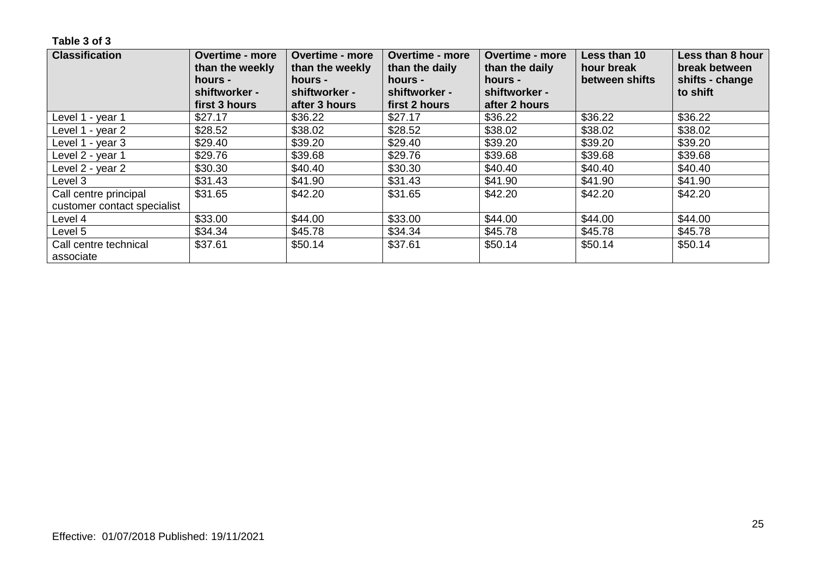| <b>Classification</b>              | <b>Overtime - more</b><br>than the weekly<br>hours - | <b>Overtime - more</b><br>than the weekly<br>hours - | <b>Overtime - more</b><br>than the daily<br>hours - | <b>Overtime - more</b><br>than the daily<br>hours - | Less than 10<br>hour break<br>between shifts | Less than 8 hour<br>break between<br>shifts - change |
|------------------------------------|------------------------------------------------------|------------------------------------------------------|-----------------------------------------------------|-----------------------------------------------------|----------------------------------------------|------------------------------------------------------|
|                                    | shiftworker -<br>first 3 hours                       | shiftworker -<br>after 3 hours                       | shiftworker -<br>first 2 hours                      | shiftworker -<br>after 2 hours                      |                                              | to shift                                             |
| Level 1 - year 1                   | \$27.17                                              | \$36.22                                              | \$27.17                                             | \$36.22                                             | \$36.22                                      | \$36.22                                              |
| Level 1 - year 2                   | \$28.52                                              | \$38.02                                              | \$28.52                                             | \$38.02                                             | \$38.02                                      | \$38.02                                              |
| Level 1 - year 3                   | \$29.40                                              | \$39.20                                              | \$29.40                                             | \$39.20                                             | \$39.20                                      | \$39.20                                              |
| Level 2 - year 1                   | \$29.76                                              | \$39.68                                              | \$29.76                                             | \$39.68                                             | \$39.68                                      | \$39.68                                              |
| Level 2 - year 2                   | \$30.30                                              | \$40.40                                              | \$30.30                                             | \$40.40                                             | \$40.40                                      | \$40.40                                              |
| Level 3                            | \$31.43                                              | \$41.90                                              | \$31.43                                             | \$41.90                                             | \$41.90                                      | \$41.90                                              |
| Call centre principal              | \$31.65                                              | \$42.20                                              | \$31.65                                             | \$42.20                                             | \$42.20                                      | \$42.20                                              |
| customer contact specialist        |                                                      |                                                      |                                                     |                                                     |                                              |                                                      |
| Level 4                            | \$33.00                                              | \$44.00                                              | \$33.00                                             | \$44.00                                             | \$44.00                                      | \$44.00                                              |
| Level 5                            | \$34.34                                              | \$45.78                                              | \$34.34                                             | \$45.78                                             | \$45.78                                      | \$45.78                                              |
| Call centre technical<br>associate | \$37.61                                              | \$50.14                                              | \$37.61                                             | \$50.14                                             | \$50.14                                      | \$50.14                                              |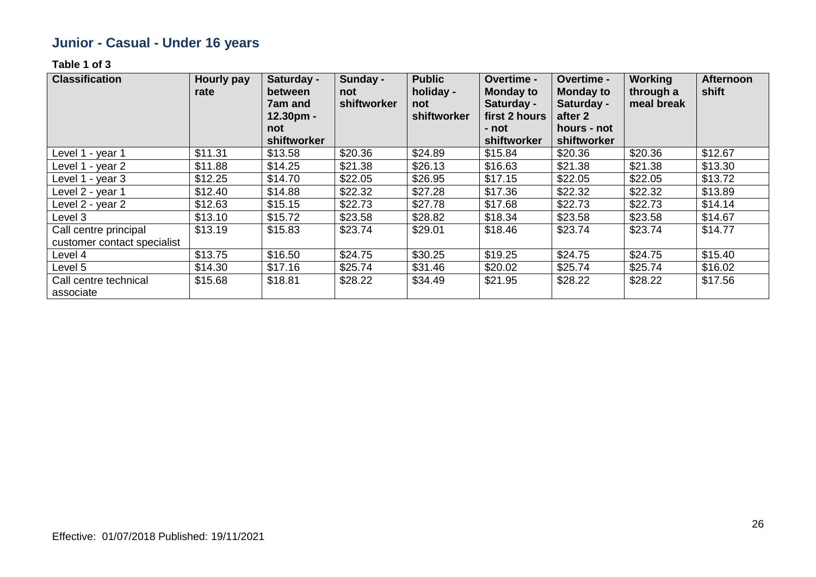# **Junior - Casual - Under 16 years**

| <b>Classification</b>                                | <b>Hourly pay</b><br>rate | Saturday -<br>between<br><b>7am and</b><br>$12.30pm -$<br>not | Sunday -<br>not<br>shiftworker | <b>Public</b><br>holiday -<br>not<br>shiftworker | Overtime -<br><b>Monday to</b><br>Saturday -<br>first 2 hours<br>- not | Overtime -<br><b>Monday to</b><br>Saturday -<br>after 2<br>hours - not | <b>Working</b><br>through a<br>meal break | <b>Afternoon</b><br>shift |
|------------------------------------------------------|---------------------------|---------------------------------------------------------------|--------------------------------|--------------------------------------------------|------------------------------------------------------------------------|------------------------------------------------------------------------|-------------------------------------------|---------------------------|
|                                                      |                           | shiftworker                                                   |                                |                                                  | shiftworker                                                            | shiftworker                                                            |                                           |                           |
| Level 1 - year 1                                     | \$11.31                   | \$13.58                                                       | \$20.36                        | \$24.89                                          | \$15.84                                                                | \$20.36                                                                | \$20.36                                   | \$12.67                   |
| Level 1 - year 2                                     | \$11.88                   | \$14.25                                                       | \$21.38                        | \$26.13                                          | \$16.63                                                                | \$21.38                                                                | \$21.38                                   | \$13.30                   |
| Level 1 - year 3                                     | \$12.25                   | \$14.70                                                       | \$22.05                        | \$26.95                                          | \$17.15                                                                | \$22.05                                                                | \$22.05                                   | \$13.72                   |
| Level 2 - year 1                                     | \$12.40                   | \$14.88                                                       | \$22.32                        | \$27.28                                          | \$17.36                                                                | \$22.32                                                                | \$22.32                                   | \$13.89                   |
| Level 2 - year 2                                     | \$12.63                   | \$15.15                                                       | \$22.73                        | \$27.78                                          | \$17.68                                                                | \$22.73                                                                | \$22.73                                   | \$14.14                   |
| Level 3                                              | \$13.10                   | \$15.72                                                       | \$23.58                        | \$28.82                                          | \$18.34                                                                | \$23.58                                                                | \$23.58                                   | \$14.67                   |
| Call centre principal<br>customer contact specialist | \$13.19                   | \$15.83                                                       | \$23.74                        | \$29.01                                          | \$18.46                                                                | \$23.74                                                                | \$23.74                                   | \$14.77                   |
| Level 4                                              | \$13.75                   | \$16.50                                                       | \$24.75                        | \$30.25                                          | \$19.25                                                                | \$24.75                                                                | \$24.75                                   | \$15.40                   |
| Level 5                                              | \$14.30                   | \$17.16                                                       | \$25.74                        | \$31.46                                          | \$20.02                                                                | \$25.74                                                                | \$25.74                                   | \$16.02                   |
| Call centre technical<br>associate                   | \$15.68                   | \$18.81                                                       | \$28.22                        | \$34.49                                          | \$21.95                                                                | \$28.22                                                                | \$28.22                                   | \$17.56                   |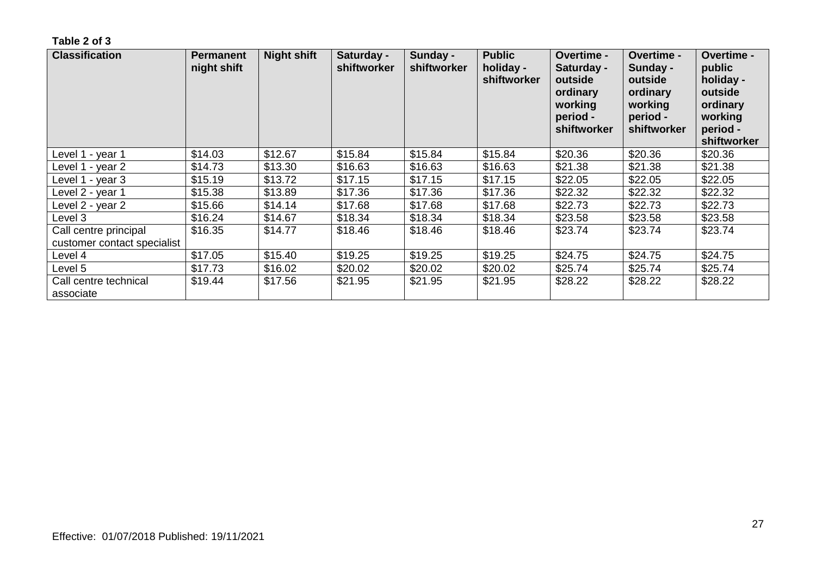| <b>Classification</b>                                | <b>Permanent</b><br>night shift | <b>Night shift</b> | Saturday -<br>shiftworker | Sunday -<br>shiftworker | <b>Public</b><br>holiday -<br>shiftworker | <b>Overtime -</b><br>Saturday -<br>outside<br>ordinary<br>working<br>period -<br>shiftworker | Overtime -<br>Sunday -<br>outside<br>ordinary<br>working<br>period -<br>shiftworker | Overtime -<br>public<br>holiday -<br>outside<br>ordinary<br>working<br>period -<br>shiftworker |
|------------------------------------------------------|---------------------------------|--------------------|---------------------------|-------------------------|-------------------------------------------|----------------------------------------------------------------------------------------------|-------------------------------------------------------------------------------------|------------------------------------------------------------------------------------------------|
| Level 1 - year 1                                     | \$14.03                         | \$12.67            | \$15.84                   | \$15.84                 | \$15.84                                   | \$20.36                                                                                      | \$20.36                                                                             | \$20.36                                                                                        |
| Level 1 - year 2                                     | \$14.73                         | \$13.30            | \$16.63                   | \$16.63                 | \$16.63                                   | \$21.38                                                                                      | \$21.38                                                                             | \$21.38                                                                                        |
| Level 1 - year 3                                     | \$15.19                         | \$13.72            | \$17.15                   | \$17.15                 | \$17.15                                   | \$22.05                                                                                      | \$22.05                                                                             | \$22.05                                                                                        |
| Level 2 - year 1                                     | \$15.38                         | \$13.89            | \$17.36                   | \$17.36                 | \$17.36                                   | \$22.32                                                                                      | \$22.32                                                                             | \$22.32                                                                                        |
| Level 2 - year 2                                     | \$15.66                         | \$14.14            | \$17.68                   | \$17.68                 | \$17.68                                   | \$22.73                                                                                      | \$22.73                                                                             | \$22.73                                                                                        |
| Level 3                                              | \$16.24                         | \$14.67            | \$18.34                   | \$18.34                 | \$18.34                                   | \$23.58                                                                                      | \$23.58                                                                             | \$23.58                                                                                        |
| Call centre principal<br>customer contact specialist | \$16.35                         | \$14.77            | \$18.46                   | \$18.46                 | \$18.46                                   | \$23.74                                                                                      | \$23.74                                                                             | \$23.74                                                                                        |
| Level 4                                              | \$17.05                         | \$15.40            | \$19.25                   | \$19.25                 | \$19.25                                   | \$24.75                                                                                      | \$24.75                                                                             | \$24.75                                                                                        |
| Level 5                                              | \$17.73                         | \$16.02            | \$20.02                   | \$20.02                 | \$20.02                                   | \$25.74                                                                                      | \$25.74                                                                             | \$25.74                                                                                        |
| Call centre technical<br>associate                   | \$19.44                         | \$17.56            | \$21.95                   | \$21.95                 | \$21.95                                   | \$28.22                                                                                      | \$28.22                                                                             | \$28.22                                                                                        |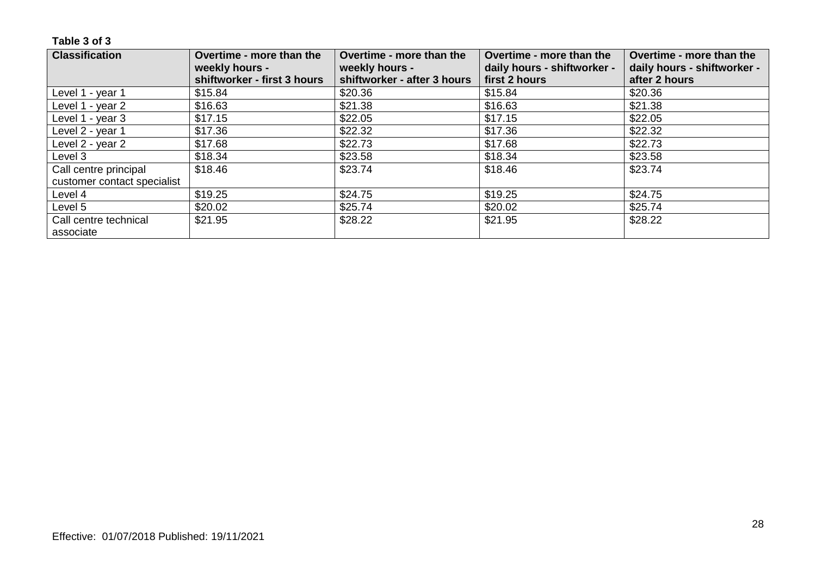| <b>Classification</b>       | Overtime - more than the                      | Overtime - more than the                      | Overtime - more than the                     | Overtime - more than the                     |
|-----------------------------|-----------------------------------------------|-----------------------------------------------|----------------------------------------------|----------------------------------------------|
|                             | weekly hours -<br>shiftworker - first 3 hours | weekly hours -<br>shiftworker - after 3 hours | daily hours - shiftworker -<br>first 2 hours | daily hours - shiftworker -<br>after 2 hours |
| Level 1 - year 1            | \$15.84                                       | \$20.36                                       | \$15.84                                      | \$20.36                                      |
| Level 1 - year 2            | \$16.63                                       | \$21.38                                       | \$16.63                                      | \$21.38                                      |
| Level 1 - year 3            | \$17.15                                       | \$22.05                                       | \$17.15                                      | \$22.05                                      |
| Level 2 - year 1            | \$17.36                                       | \$22.32                                       | \$17.36                                      | \$22.32                                      |
| Level 2 - year 2            | \$17.68                                       | \$22.73                                       | \$17.68                                      | \$22.73                                      |
| Level 3                     | \$18.34                                       | \$23.58                                       | \$18.34                                      | \$23.58                                      |
| Call centre principal       | \$18.46                                       | \$23.74                                       | \$18.46                                      | \$23.74                                      |
| customer contact specialist |                                               |                                               |                                              |                                              |
| Level 4                     | \$19.25                                       | \$24.75                                       | \$19.25                                      | \$24.75                                      |
| Level 5                     | \$20.02                                       | \$25.74                                       | \$20.02                                      | \$25.74                                      |
| Call centre technical       | \$21.95                                       | \$28.22                                       | \$21.95                                      | \$28.22                                      |
| associate                   |                                               |                                               |                                              |                                              |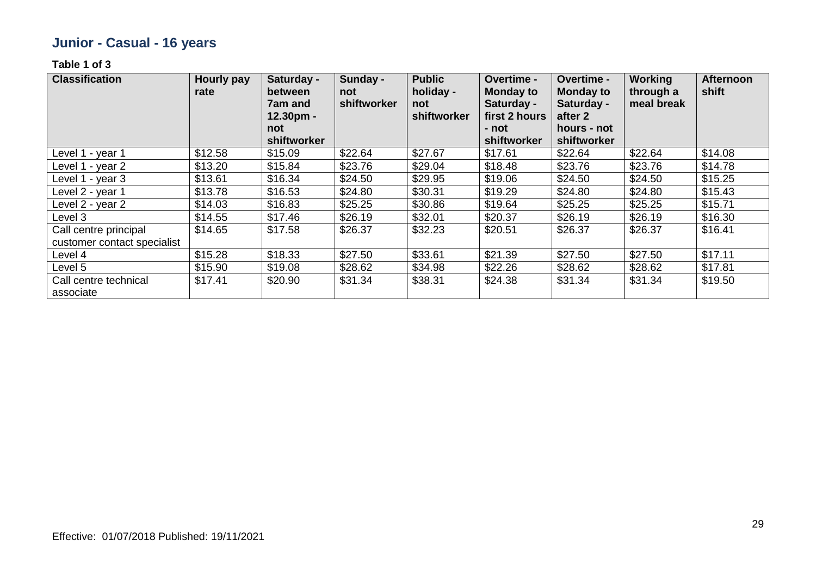# **Junior - Casual - 16 years**

| <b>Classification</b>                                | <b>Hourly pay</b><br>rate | Saturday -<br>between<br>7am and<br>$12.30pm -$ | Sunday -<br>not<br>shiftworker | <b>Public</b><br>holiday -<br>not<br>shiftworker | <b>Overtime -</b><br><b>Monday to</b><br>Saturday -<br>first 2 hours | Overtime -<br><b>Monday to</b><br>Saturday -<br>after 2 | <b>Working</b><br>through a<br>meal break | <b>Afternoon</b><br>shift |
|------------------------------------------------------|---------------------------|-------------------------------------------------|--------------------------------|--------------------------------------------------|----------------------------------------------------------------------|---------------------------------------------------------|-------------------------------------------|---------------------------|
|                                                      |                           | not<br>shiftworker                              |                                |                                                  | - not<br>shiftworker                                                 | hours - not<br>shiftworker                              |                                           |                           |
| Level 1 - year 1                                     | \$12.58                   | \$15.09                                         | \$22.64                        | \$27.67                                          | \$17.61                                                              | \$22.64                                                 | \$22.64                                   | \$14.08                   |
| Level 1 - year 2                                     | \$13.20                   | \$15.84                                         | \$23.76                        | \$29.04                                          | \$18.48                                                              | \$23.76                                                 | \$23.76                                   | \$14.78                   |
| Level 1 - year 3                                     | \$13.61                   | \$16.34                                         | \$24.50                        | \$29.95                                          | \$19.06                                                              | \$24.50                                                 | \$24.50                                   | \$15.25                   |
| Level 2 - year 1                                     | \$13.78                   | \$16.53                                         | \$24.80                        | \$30.31                                          | \$19.29                                                              | \$24.80                                                 | \$24.80                                   | \$15.43                   |
| Level 2 - year 2                                     | \$14.03                   | \$16.83                                         | \$25.25                        | \$30.86                                          | \$19.64                                                              | \$25.25                                                 | \$25.25                                   | \$15.71                   |
| Level 3                                              | \$14.55                   | \$17.46                                         | \$26.19                        | \$32.01                                          | \$20.37                                                              | \$26.19                                                 | \$26.19                                   | \$16.30                   |
| Call centre principal<br>customer contact specialist | \$14.65                   | \$17.58                                         | \$26.37                        | \$32.23                                          | \$20.51                                                              | \$26.37                                                 | \$26.37                                   | \$16.41                   |
| Level 4                                              | \$15.28                   | \$18.33                                         | \$27.50                        | \$33.61                                          | \$21.39                                                              | \$27.50                                                 | \$27.50                                   | \$17.11                   |
| Level 5                                              | \$15.90                   | \$19.08                                         | \$28.62                        | \$34.98                                          | \$22.26                                                              | \$28.62                                                 | \$28.62                                   | \$17.81                   |
| Call centre technical<br>associate                   | \$17.41                   | \$20.90                                         | \$31.34                        | \$38.31                                          | \$24.38                                                              | \$31.34                                                 | \$31.34                                   | \$19.50                   |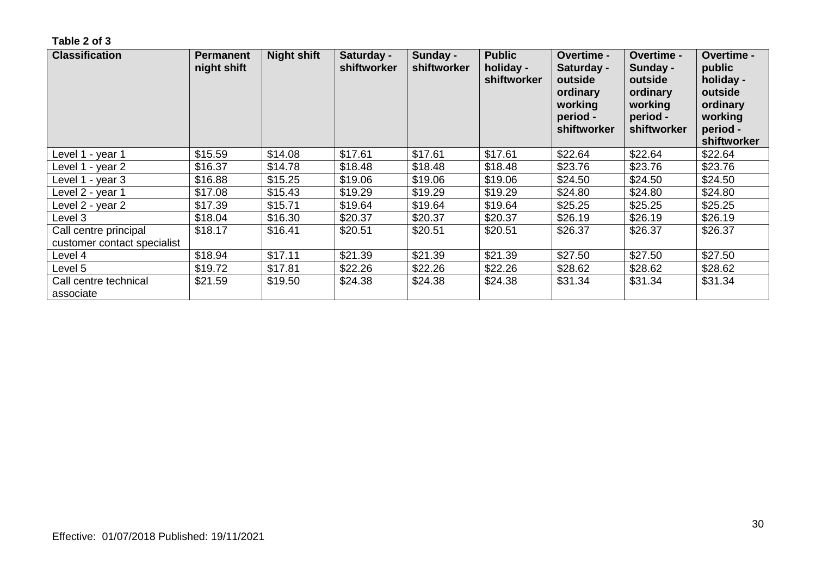| <b>Classification</b>                                | <b>Permanent</b><br>night shift | <b>Night shift</b> | Saturday -<br>shiftworker | Sunday -<br>shiftworker | <b>Public</b><br>holiday -<br>shiftworker | <b>Overtime -</b><br>Saturday -<br>outside<br>ordinary<br>working<br>period -<br>shiftworker | <b>Overtime -</b><br>Sunday -<br>outside<br>ordinary<br>working<br>period -<br>shiftworker | <b>Overtime -</b><br>public<br>holiday -<br>outside<br>ordinary<br>working<br>period -<br>shiftworker |
|------------------------------------------------------|---------------------------------|--------------------|---------------------------|-------------------------|-------------------------------------------|----------------------------------------------------------------------------------------------|--------------------------------------------------------------------------------------------|-------------------------------------------------------------------------------------------------------|
| Level 1 - year 1                                     | \$15.59                         | \$14.08            | \$17.61                   | \$17.61                 | \$17.61                                   | \$22.64                                                                                      | \$22.64                                                                                    | \$22.64                                                                                               |
| Level 1 - year 2                                     | \$16.37                         | \$14.78            | \$18.48                   | \$18.48                 | \$18.48                                   | \$23.76                                                                                      | \$23.76                                                                                    | \$23.76                                                                                               |
| Level 1 - year 3                                     | \$16.88                         | \$15.25            | \$19.06                   | \$19.06                 | \$19.06                                   | \$24.50                                                                                      | \$24.50                                                                                    | \$24.50                                                                                               |
| Level 2 - year 1                                     | \$17.08                         | \$15.43            | \$19.29                   | \$19.29                 | \$19.29                                   | \$24.80                                                                                      | \$24.80                                                                                    | \$24.80                                                                                               |
| ∟evel 2 - year 2                                     | \$17.39                         | \$15.71            | \$19.64                   | \$19.64                 | \$19.64                                   | \$25.25                                                                                      | \$25.25                                                                                    | \$25.25                                                                                               |
| Level 3                                              | \$18.04                         | \$16.30            | \$20.37                   | \$20.37                 | \$20.37                                   | \$26.19                                                                                      | \$26.19                                                                                    | \$26.19                                                                                               |
| Call centre principal<br>customer contact specialist | \$18.17                         | \$16.41            | \$20.51                   | \$20.51                 | \$20.51                                   | \$26.37                                                                                      | \$26.37                                                                                    | \$26.37                                                                                               |
| Level 4                                              | \$18.94                         | \$17.11            | \$21.39                   | \$21.39                 | \$21.39                                   | \$27.50                                                                                      | \$27.50                                                                                    | \$27.50                                                                                               |
| Level 5                                              | \$19.72                         | \$17.81            | \$22.26                   | \$22.26                 | \$22.26                                   | \$28.62                                                                                      | \$28.62                                                                                    | \$28.62                                                                                               |
| Call centre technical<br>associate                   | \$21.59                         | \$19.50            | \$24.38                   | \$24.38                 | \$24.38                                   | \$31.34                                                                                      | \$31.34                                                                                    | \$31.34                                                                                               |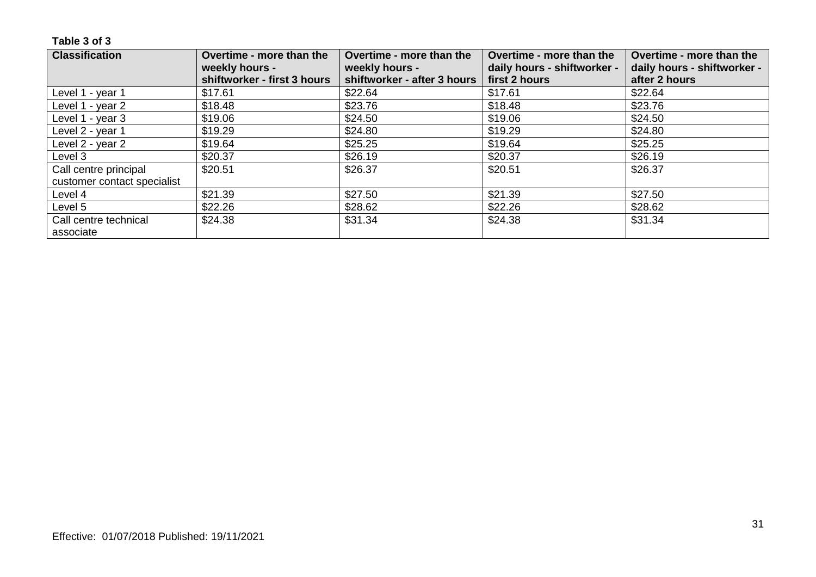| <b>Classification</b>       | Overtime - more than the<br>weekly hours - | Overtime - more than the<br>weekly hours - | Overtime - more than the<br>daily hours - shiftworker - | Overtime - more than the<br>daily hours - shiftworker - |
|-----------------------------|--------------------------------------------|--------------------------------------------|---------------------------------------------------------|---------------------------------------------------------|
|                             | shiftworker - first 3 hours                | shiftworker - after 3 hours                | first 2 hours                                           | after 2 hours                                           |
| Level 1 - year 1            | \$17.61                                    | \$22.64                                    | \$17.61                                                 | \$22.64                                                 |
| Level 1 - year 2            | \$18.48                                    | \$23.76                                    | \$18.48                                                 | \$23.76                                                 |
| Level 1 - year 3            | \$19.06                                    | \$24.50                                    | \$19.06                                                 | \$24.50                                                 |
| Level 2 - year 1            | \$19.29                                    | \$24.80                                    | \$19.29                                                 | \$24.80                                                 |
| Level 2 - year 2            | \$19.64                                    | \$25.25                                    | \$19.64                                                 | \$25.25                                                 |
| Level 3                     | \$20.37                                    | \$26.19                                    | \$20.37                                                 | \$26.19                                                 |
| Call centre principal       | \$20.51                                    | \$26.37                                    | \$20.51                                                 | \$26.37                                                 |
| customer contact specialist |                                            |                                            |                                                         |                                                         |
| Level 4                     | \$21.39                                    | \$27.50                                    | \$21.39                                                 | \$27.50                                                 |
| Level 5                     | \$22.26                                    | \$28.62                                    | \$22.26                                                 | \$28.62                                                 |
| Call centre technical       | \$24.38                                    | \$31.34                                    | \$24.38                                                 | \$31.34                                                 |
| associate                   |                                            |                                            |                                                         |                                                         |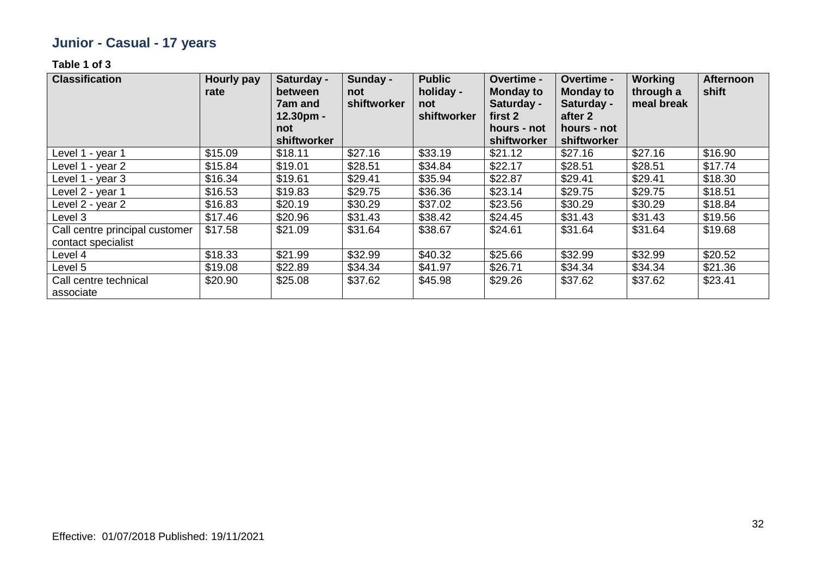# **Junior - Casual - 17 years**

| <b>Classification</b>                                | <b>Hourly pay</b><br>rate | Saturday -<br><b>between</b><br>7am and<br>12.30pm -<br>not | Sunday -<br>not<br>shiftworker | <b>Public</b><br>holiday -<br>not<br>shiftworker | <b>Overtime -</b><br><b>Monday to</b><br>Saturday -<br>first 2<br>hours - not | <b>Overtime -</b><br><b>Monday to</b><br>Saturday -<br>after 2<br>hours - not | <b>Working</b><br>through a<br>meal break | <b>Afternoon</b><br>shift |
|------------------------------------------------------|---------------------------|-------------------------------------------------------------|--------------------------------|--------------------------------------------------|-------------------------------------------------------------------------------|-------------------------------------------------------------------------------|-------------------------------------------|---------------------------|
|                                                      |                           | shiftworker                                                 |                                |                                                  | shiftworker                                                                   | shiftworker                                                                   |                                           |                           |
| Level 1 - year 1                                     | \$15.09                   | \$18.11                                                     | \$27.16                        | \$33.19                                          | \$21.12                                                                       | \$27.16                                                                       | \$27.16                                   | \$16.90                   |
| Level 1 - year 2                                     | \$15.84                   | \$19.01                                                     | \$28.51                        | \$34.84                                          | \$22.17                                                                       | \$28.51                                                                       | \$28.51                                   | \$17.74                   |
| Level 1 - year 3                                     | \$16.34                   | \$19.61                                                     | \$29.41                        | \$35.94                                          | \$22.87                                                                       | \$29.41                                                                       | \$29.41                                   | \$18.30                   |
| Level 2 - year 1                                     | \$16.53                   | \$19.83                                                     | \$29.75                        | \$36.36                                          | \$23.14                                                                       | \$29.75                                                                       | \$29.75                                   | \$18.51                   |
| Level 2 - year 2                                     | \$16.83                   | \$20.19                                                     | \$30.29                        | \$37.02                                          | \$23.56                                                                       | \$30.29                                                                       | \$30.29                                   | \$18.84                   |
| Level 3                                              | \$17.46                   | \$20.96                                                     | \$31.43                        | \$38.42                                          | \$24.45                                                                       | \$31.43                                                                       | \$31.43                                   | \$19.56                   |
| Call centre principal customer<br>contact specialist | \$17.58                   | \$21.09                                                     | \$31.64                        | \$38.67                                          | \$24.61                                                                       | \$31.64                                                                       | \$31.64                                   | \$19.68                   |
| Level 4                                              | \$18.33                   | \$21.99                                                     | \$32.99                        | \$40.32                                          | \$25.66                                                                       | \$32.99                                                                       | \$32.99                                   | \$20.52                   |
| Level 5                                              | \$19.08                   | \$22.89                                                     | \$34.34                        | \$41.97                                          | \$26.71                                                                       | \$34.34                                                                       | \$34.34                                   | \$21.36                   |
| Call centre technical<br>associate                   | \$20.90                   | \$25.08                                                     | \$37.62                        | \$45.98                                          | \$29.26                                                                       | \$37.62                                                                       | \$37.62                                   | \$23.41                   |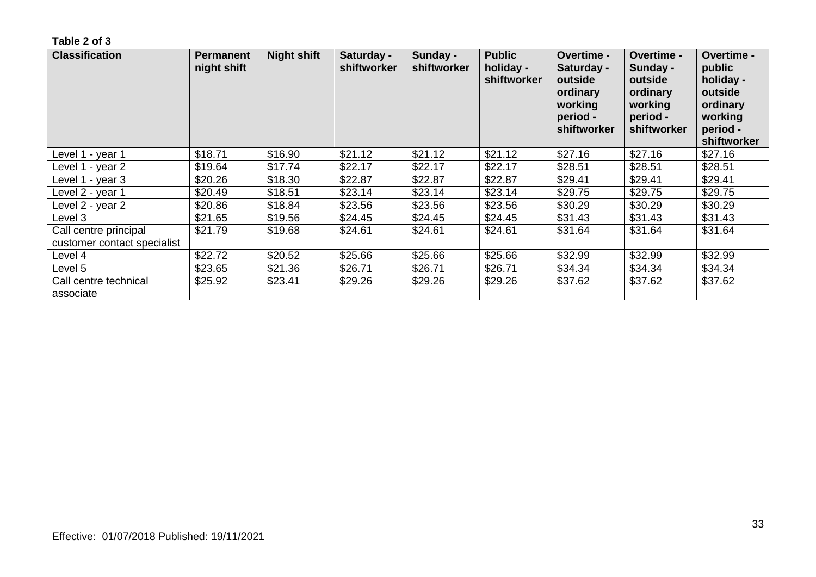| <b>Classification</b>                                | <b>Permanent</b><br>night shift | <b>Night shift</b> | Saturday -<br>shiftworker | Sunday -<br>shiftworker | <b>Public</b><br>holiday -<br>shiftworker | <b>Overtime -</b><br>Saturday -<br>outside<br>ordinary<br>working<br>period -<br>shiftworker | <b>Overtime -</b><br>Sunday -<br>outside<br>ordinary<br>working<br>period -<br>shiftworker | <b>Overtime -</b><br>public<br>holiday -<br>outside<br>ordinary<br>working<br>period -<br>shiftworker |
|------------------------------------------------------|---------------------------------|--------------------|---------------------------|-------------------------|-------------------------------------------|----------------------------------------------------------------------------------------------|--------------------------------------------------------------------------------------------|-------------------------------------------------------------------------------------------------------|
| ∟evel 1 - year 1                                     | \$18.71                         | \$16.90            | \$21.12                   | \$21.12                 | \$21.12                                   | \$27.16                                                                                      | \$27.16                                                                                    | \$27.16                                                                                               |
| Level 1 - year 2                                     | \$19.64                         | \$17.74            | \$22.17                   | \$22.17                 | \$22.17                                   | \$28.51                                                                                      | \$28.51                                                                                    | \$28.51                                                                                               |
| Level 1 - year 3                                     | \$20.26                         | \$18.30            | \$22.87                   | \$22.87                 | \$22.87                                   | \$29.41                                                                                      | \$29.41                                                                                    | \$29.41                                                                                               |
| Level 2 - year 1                                     | \$20.49                         | \$18.51            | \$23.14                   | \$23.14                 | \$23.14                                   | \$29.75                                                                                      | \$29.75                                                                                    | \$29.75                                                                                               |
| Level 2 - year 2                                     | \$20.86                         | \$18.84            | \$23.56                   | \$23.56                 | \$23.56                                   | \$30.29                                                                                      | \$30.29                                                                                    | \$30.29                                                                                               |
| Level 3                                              | \$21.65                         | \$19.56            | \$24.45                   | \$24.45                 | \$24.45                                   | \$31.43                                                                                      | \$31.43                                                                                    | \$31.43                                                                                               |
| Call centre principal<br>customer contact specialist | \$21.79                         | \$19.68            | \$24.61                   | \$24.61                 | \$24.61                                   | \$31.64                                                                                      | \$31.64                                                                                    | \$31.64                                                                                               |
| Level 4                                              | \$22.72                         | \$20.52            | \$25.66                   | \$25.66                 | \$25.66                                   | \$32.99                                                                                      | \$32.99                                                                                    | \$32.99                                                                                               |
| Level 5                                              | \$23.65                         | \$21.36            | \$26.71                   | \$26.71                 | \$26.71                                   | \$34.34                                                                                      | \$34.34                                                                                    | \$34.34                                                                                               |
| Call centre technical<br>associate                   | \$25.92                         | \$23.41            | \$29.26                   | \$29.26                 | \$29.26                                   | \$37.62                                                                                      | \$37.62                                                                                    | \$37.62                                                                                               |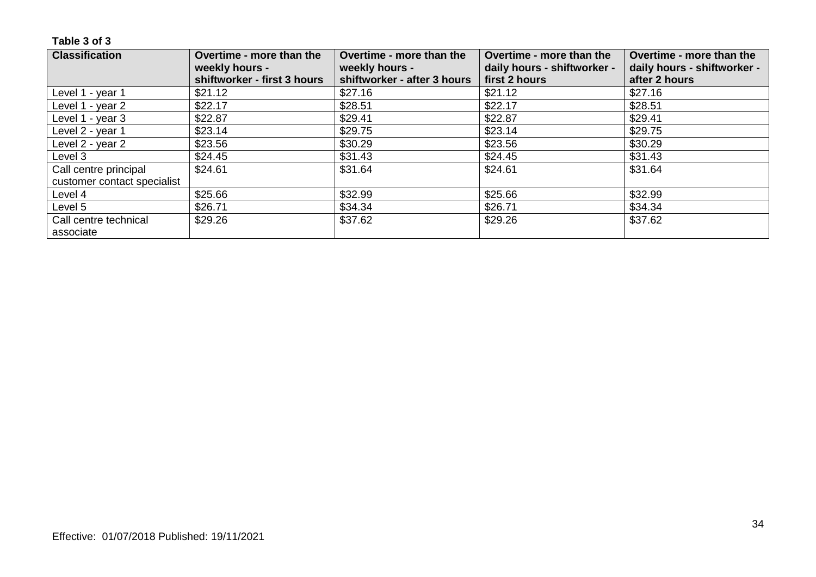| <b>Classification</b>       | Overtime - more than the                      | Overtime - more than the                      | Overtime - more than the                     | Overtime - more than the                     |
|-----------------------------|-----------------------------------------------|-----------------------------------------------|----------------------------------------------|----------------------------------------------|
|                             | weekly hours -<br>shiftworker - first 3 hours | weekly hours -<br>shiftworker - after 3 hours | daily hours - shiftworker -<br>first 2 hours | daily hours - shiftworker -<br>after 2 hours |
| Level 1 - year 1            | \$21.12                                       | \$27.16                                       | \$21.12                                      | \$27.16                                      |
| Level 1 - year 2            | \$22.17                                       | \$28.51                                       | \$22.17                                      | \$28.51                                      |
| Level 1 - year 3            | \$22.87                                       | \$29.41                                       | \$22.87                                      | \$29.41                                      |
| Level 2 - year 1            | \$23.14                                       | \$29.75                                       | \$23.14                                      | \$29.75                                      |
| Level 2 - year 2            | \$23.56                                       | \$30.29                                       | \$23.56                                      | \$30.29                                      |
| Level 3                     | \$24.45                                       | \$31.43                                       | \$24.45                                      | \$31.43                                      |
| Call centre principal       | \$24.61                                       | \$31.64                                       | \$24.61                                      | \$31.64                                      |
| customer contact specialist |                                               |                                               |                                              |                                              |
| Level 4                     | \$25.66                                       | \$32.99                                       | \$25.66                                      | \$32.99                                      |
| Level 5                     | \$26.71                                       | \$34.34                                       | \$26.71                                      | \$34.34                                      |
| Call centre technical       | \$29.26                                       | \$37.62                                       | \$29.26                                      | \$37.62                                      |
| associate                   |                                               |                                               |                                              |                                              |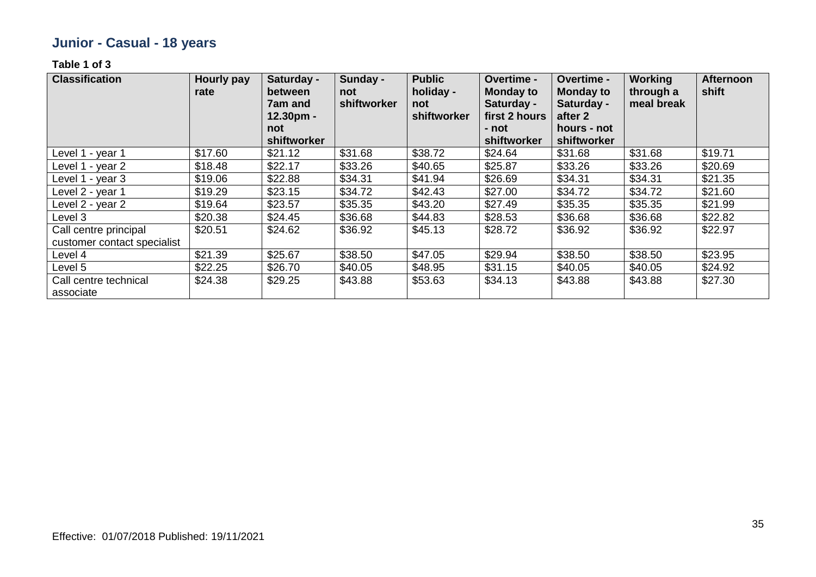# **Junior - Casual - 18 years**

| <b>Classification</b>                                | <b>Hourly pay</b><br>rate | Saturday -<br>between<br>7am and<br>$12.30pm -$<br>not | Sunday -<br>not<br>shiftworker | <b>Public</b><br>holiday -<br>not<br>shiftworker | Overtime -<br><b>Monday to</b><br>Saturday -<br>first 2 hours<br>- not | Overtime -<br><b>Monday to</b><br>Saturday -<br>after 2<br>hours - not | <b>Working</b><br>through a<br>meal break | <b>Afternoon</b><br>shift |
|------------------------------------------------------|---------------------------|--------------------------------------------------------|--------------------------------|--------------------------------------------------|------------------------------------------------------------------------|------------------------------------------------------------------------|-------------------------------------------|---------------------------|
|                                                      |                           | shiftworker                                            |                                |                                                  | shiftworker                                                            | shiftworker                                                            |                                           |                           |
| Level 1 - year 1                                     | \$17.60                   | \$21.12                                                | \$31.68                        | \$38.72                                          | \$24.64                                                                | \$31.68                                                                | \$31.68                                   | \$19.71                   |
| Level 1 - year 2                                     | \$18.48                   | \$22.17                                                | \$33.26                        | \$40.65                                          | \$25.87                                                                | \$33.26                                                                | \$33.26                                   | \$20.69                   |
| Level 1 - year 3                                     | \$19.06                   | \$22.88                                                | \$34.31                        | \$41.94                                          | \$26.69                                                                | \$34.31                                                                | \$34.31                                   | \$21.35                   |
| Level 2 - year 1                                     | \$19.29                   | \$23.15                                                | \$34.72                        | \$42.43                                          | \$27.00                                                                | \$34.72                                                                | \$34.72                                   | \$21.60                   |
| Level 2 - year 2                                     | \$19.64                   | \$23.57                                                | \$35.35                        | \$43.20                                          | \$27.49                                                                | \$35.35                                                                | \$35.35                                   | \$21.99                   |
| Level 3                                              | \$20.38                   | \$24.45                                                | \$36.68                        | \$44.83                                          | \$28.53                                                                | \$36.68                                                                | \$36.68                                   | \$22.82                   |
| Call centre principal<br>customer contact specialist | \$20.51                   | \$24.62                                                | \$36.92                        | \$45.13                                          | \$28.72                                                                | \$36.92                                                                | \$36.92                                   | \$22.97                   |
| Level 4                                              | \$21.39                   | \$25.67                                                | \$38.50                        | \$47.05                                          | \$29.94                                                                | \$38.50                                                                | \$38.50                                   | \$23.95                   |
| Level 5                                              | \$22.25                   | \$26.70                                                | \$40.05                        | \$48.95                                          | \$31.15                                                                | \$40.05                                                                | \$40.05                                   | \$24.92                   |
| Call centre technical<br>associate                   | \$24.38                   | \$29.25                                                | \$43.88                        | \$53.63                                          | \$34.13                                                                | \$43.88                                                                | \$43.88                                   | \$27.30                   |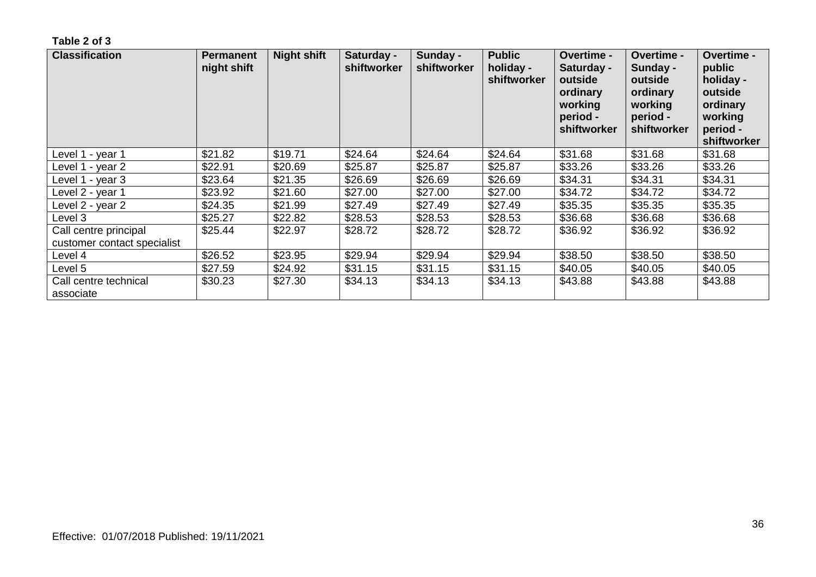| <b>Classification</b>                                | <b>Permanent</b><br>night shift | <b>Night shift</b> | Saturday -<br>shiftworker | Sunday -<br>shiftworker | <b>Public</b><br>holiday -<br>shiftworker | Overtime -<br>Saturday -<br>outside<br>ordinary<br>working<br>period -<br>shiftworker | <b>Overtime -</b><br>Sunday -<br>outside<br>ordinary<br>working<br>period -<br>shiftworker | <b>Overtime -</b><br>public<br>holiday -<br>outside<br>ordinary<br>working<br>period -<br>shiftworker |
|------------------------------------------------------|---------------------------------|--------------------|---------------------------|-------------------------|-------------------------------------------|---------------------------------------------------------------------------------------|--------------------------------------------------------------------------------------------|-------------------------------------------------------------------------------------------------------|
| Level 1 - year 1                                     | \$21.82                         | \$19.71            | \$24.64                   | \$24.64                 | \$24.64                                   | \$31.68                                                                               | \$31.68                                                                                    | \$31.68                                                                                               |
| Level 1 - year 2                                     | \$22.91                         | \$20.69            | \$25.87                   | \$25.87                 | \$25.87                                   | \$33.26                                                                               | \$33.26                                                                                    | \$33.26                                                                                               |
| Level 1 - year 3                                     | \$23.64                         | \$21.35            | \$26.69                   | \$26.69                 | \$26.69                                   | \$34.31                                                                               | \$34.31                                                                                    | \$34.31                                                                                               |
| Level 2 - year 1                                     | \$23.92                         | \$21.60            | \$27.00                   | \$27.00                 | \$27.00                                   | \$34.72                                                                               | \$34.72                                                                                    | \$34.72                                                                                               |
| ∟evel 2 - year 2                                     | \$24.35                         | \$21.99            | \$27.49                   | \$27.49                 | \$27.49                                   | \$35.35                                                                               | \$35.35                                                                                    | \$35.35                                                                                               |
| Level 3                                              | \$25.27                         | \$22.82            | \$28.53                   | \$28.53                 | \$28.53                                   | \$36.68                                                                               | \$36.68                                                                                    | \$36.68                                                                                               |
| Call centre principal<br>customer contact specialist | \$25.44                         | \$22.97            | \$28.72                   | \$28.72                 | \$28.72                                   | \$36.92                                                                               | \$36.92                                                                                    | \$36.92                                                                                               |
| Level 4                                              | \$26.52                         | \$23.95            | \$29.94                   | \$29.94                 | \$29.94                                   | \$38.50                                                                               | \$38.50                                                                                    | \$38.50                                                                                               |
| Level 5                                              | \$27.59                         | \$24.92            | \$31.15                   | \$31.15                 | \$31.15                                   | \$40.05                                                                               | \$40.05                                                                                    | \$40.05                                                                                               |
| Call centre technical<br>associate                   | \$30.23                         | \$27.30            | \$34.13                   | \$34.13                 | \$34.13                                   | \$43.88                                                                               | \$43.88                                                                                    | \$43.88                                                                                               |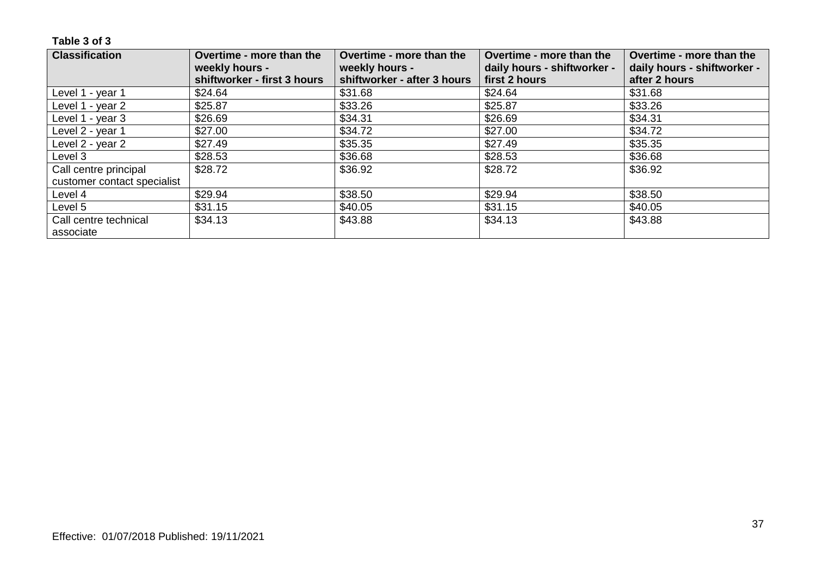| <b>Classification</b>       | Overtime - more than the<br>weekly hours - | Overtime - more than the<br>weekly hours - | Overtime - more than the<br>daily hours - shiftworker - | Overtime - more than the<br>daily hours - shiftworker - |
|-----------------------------|--------------------------------------------|--------------------------------------------|---------------------------------------------------------|---------------------------------------------------------|
|                             | shiftworker - first 3 hours                | shiftworker - after 3 hours                | first 2 hours                                           | after 2 hours                                           |
| Level 1 - year 1            | \$24.64                                    | \$31.68                                    | \$24.64                                                 | \$31.68                                                 |
| Level 1 - year 2            | \$25.87                                    | \$33.26                                    | \$25.87                                                 | \$33.26                                                 |
| Level 1 - year 3            | \$26.69                                    | \$34.31                                    | \$26.69                                                 | \$34.31                                                 |
| Level 2 - year 1            | \$27.00                                    | \$34.72                                    | \$27.00                                                 | \$34.72                                                 |
| Level 2 - year 2            | \$27.49                                    | \$35.35                                    | \$27.49                                                 | \$35.35                                                 |
| Level 3                     | \$28.53                                    | \$36.68                                    | \$28.53                                                 | \$36.68                                                 |
| Call centre principal       | \$28.72                                    | \$36.92                                    | \$28.72                                                 | \$36.92                                                 |
| customer contact specialist |                                            |                                            |                                                         |                                                         |
| Level 4                     | \$29.94                                    | \$38.50                                    | \$29.94                                                 | \$38.50                                                 |
| Level 5                     | \$31.15                                    | \$40.05                                    | \$31.15                                                 | \$40.05                                                 |
| Call centre technical       | \$34.13                                    | \$43.88                                    | \$34.13                                                 | \$43.88                                                 |
| associate                   |                                            |                                            |                                                         |                                                         |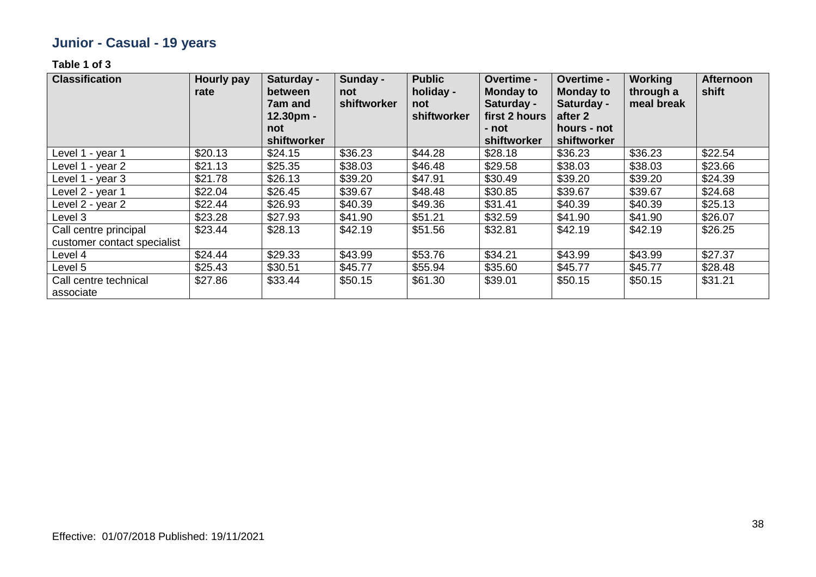# **Junior - Casual - 19 years**

| <b>Classification</b>                                | <b>Hourly pay</b><br>rate | Saturday -<br>between<br>7am and<br>$12.30pm -$ | Sunday -<br>not<br>shiftworker | <b>Public</b><br>holiday -<br>not<br>shiftworker | Overtime -<br><b>Monday to</b><br>Saturday -<br>first 2 hours | Overtime -<br><b>Monday to</b><br>Saturday -<br>after 2 | <b>Working</b><br>through a<br>meal break | <b>Afternoon</b><br>shift |
|------------------------------------------------------|---------------------------|-------------------------------------------------|--------------------------------|--------------------------------------------------|---------------------------------------------------------------|---------------------------------------------------------|-------------------------------------------|---------------------------|
|                                                      |                           | not<br>shiftworker                              |                                |                                                  | - not<br>shiftworker                                          | hours - not<br>shiftworker                              |                                           |                           |
| Level 1 - year 1                                     | \$20.13                   | \$24.15                                         | \$36.23                        | \$44.28                                          | \$28.18                                                       | \$36.23                                                 | \$36.23                                   | \$22.54                   |
| Level 1 - year 2                                     | \$21.13                   | \$25.35                                         | \$38.03                        | \$46.48                                          | \$29.58                                                       | \$38.03                                                 | \$38.03                                   | \$23.66                   |
| Level 1 - year 3                                     | \$21.78                   | \$26.13                                         | \$39.20                        | \$47.91                                          | \$30.49                                                       | \$39.20                                                 | \$39.20                                   | \$24.39                   |
| Level 2 - year 1                                     | \$22.04                   | \$26.45                                         | \$39.67                        | \$48.48                                          | \$30.85                                                       | \$39.67                                                 | \$39.67                                   | \$24.68                   |
| Level 2 - year 2                                     | \$22.44                   | \$26.93                                         | \$40.39                        | \$49.36                                          | \$31.41                                                       | \$40.39                                                 | \$40.39                                   | \$25.13                   |
| Level 3                                              | \$23.28                   | \$27.93                                         | \$41.90                        | \$51.21                                          | \$32.59                                                       | \$41.90                                                 | \$41.90                                   | \$26.07                   |
| Call centre principal<br>customer contact specialist | \$23.44                   | \$28.13                                         | \$42.19                        | \$51.56                                          | \$32.81                                                       | \$42.19                                                 | \$42.19                                   | \$26.25                   |
| Level 4                                              | \$24.44                   | \$29.33                                         | \$43.99                        | \$53.76                                          | \$34.21                                                       | \$43.99                                                 | \$43.99                                   | \$27.37                   |
| Level 5                                              | \$25.43                   | \$30.51                                         | \$45.77                        | \$55.94                                          | \$35.60                                                       | \$45.77                                                 | \$45.77                                   | \$28.48                   |
| Call centre technical<br>associate                   | \$27.86                   | \$33.44                                         | \$50.15                        | \$61.30                                          | \$39.01                                                       | \$50.15                                                 | \$50.15                                   | \$31.21                   |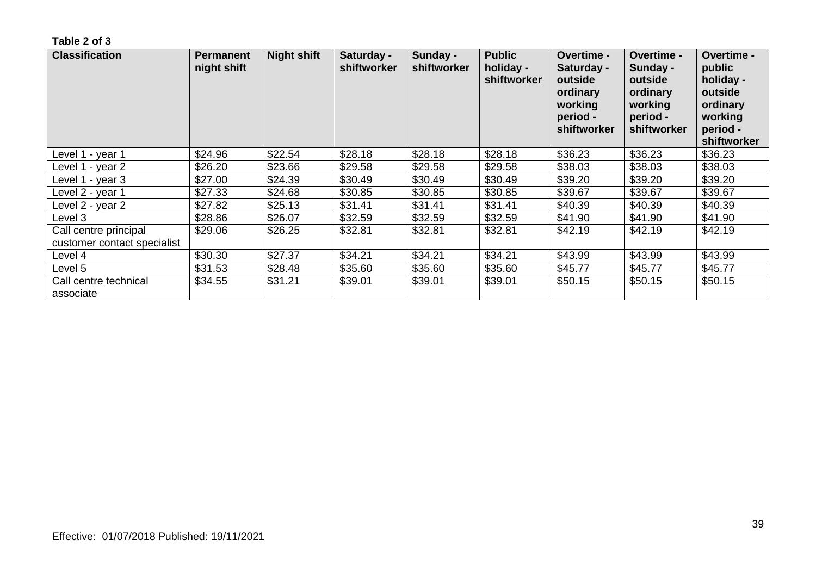| <b>Classification</b>                                | <b>Permanent</b><br>night shift | <b>Night shift</b> | Saturday -<br>shiftworker | Sunday -<br>shiftworker | <b>Public</b><br>holiday -<br>shiftworker | <b>Overtime -</b><br>Saturday -<br>outside<br>ordinary<br>working<br>period -<br>shiftworker | <b>Overtime -</b><br>Sunday -<br>outside<br>ordinary<br>working<br>period -<br>shiftworker | <b>Overtime -</b><br>public<br>holiday -<br>outside<br>ordinary<br>working<br>period -<br>shiftworker |
|------------------------------------------------------|---------------------------------|--------------------|---------------------------|-------------------------|-------------------------------------------|----------------------------------------------------------------------------------------------|--------------------------------------------------------------------------------------------|-------------------------------------------------------------------------------------------------------|
| Level 1 - year 1                                     | \$24.96                         | \$22.54            | \$28.18                   | \$28.18                 | \$28.18                                   | \$36.23                                                                                      | \$36.23                                                                                    | \$36.23                                                                                               |
| Level 1 - year 2                                     | \$26.20                         | \$23.66            | \$29.58                   | \$29.58                 | \$29.58                                   | \$38.03                                                                                      | \$38.03                                                                                    | \$38.03                                                                                               |
| Level 1 - year 3                                     | \$27.00                         | \$24.39            | \$30.49                   | \$30.49                 | \$30.49                                   | \$39.20                                                                                      | \$39.20                                                                                    | \$39.20                                                                                               |
| Level 2 - year 1                                     | \$27.33                         | \$24.68            | \$30.85                   | \$30.85                 | \$30.85                                   | \$39.67                                                                                      | \$39.67                                                                                    | \$39.67                                                                                               |
| Level 2 - year 2                                     | \$27.82                         | \$25.13            | \$31.41                   | \$31.41                 | \$31.41                                   | \$40.39                                                                                      | \$40.39                                                                                    | \$40.39                                                                                               |
| Level 3                                              | \$28.86                         | \$26.07            | \$32.59                   | \$32.59                 | \$32.59                                   | \$41.90                                                                                      | \$41.90                                                                                    | \$41.90                                                                                               |
| Call centre principal<br>customer contact specialist | \$29.06                         | \$26.25            | \$32.81                   | \$32.81                 | \$32.81                                   | \$42.19                                                                                      | \$42.19                                                                                    | \$42.19                                                                                               |
| Level 4                                              | \$30.30                         | \$27.37            | \$34.21                   | \$34.21                 | \$34.21                                   | \$43.99                                                                                      | \$43.99                                                                                    | \$43.99                                                                                               |
| Level 5                                              | \$31.53                         | \$28.48            | \$35.60                   | \$35.60                 | \$35.60                                   | \$45.77                                                                                      | \$45.77                                                                                    | \$45.77                                                                                               |
| Call centre technical<br>associate                   | \$34.55                         | \$31.21            | \$39.01                   | \$39.01                 | \$39.01                                   | \$50.15                                                                                      | \$50.15                                                                                    | \$50.15                                                                                               |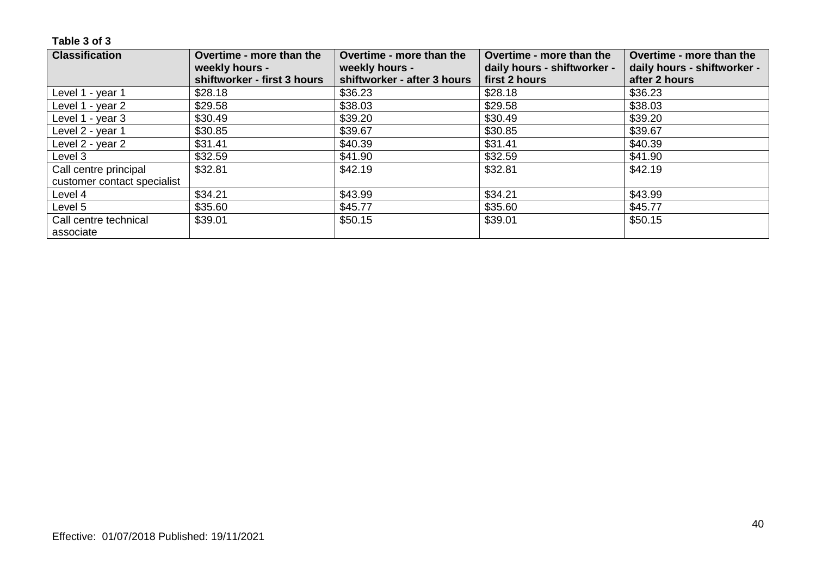| <b>Classification</b>       | Overtime - more than the    | Overtime - more than the    | Overtime - more than the    | Overtime - more than the    |
|-----------------------------|-----------------------------|-----------------------------|-----------------------------|-----------------------------|
|                             | weekly hours -              | weekly hours -              | daily hours - shiftworker - | daily hours - shiftworker - |
|                             | shiftworker - first 3 hours | shiftworker - after 3 hours | first 2 hours               | after 2 hours               |
| Level 1 - year 1            | \$28.18                     | \$36.23                     | \$28.18                     | \$36.23                     |
| Level 1 - year 2            | \$29.58                     | \$38.03                     | \$29.58                     | \$38.03                     |
| Level 1 - year 3            | \$30.49                     | \$39.20                     | \$30.49                     | \$39.20                     |
| Level 2 - year 1            | \$30.85                     | \$39.67                     | \$30.85                     | \$39.67                     |
| Level 2 - year 2            | \$31.41                     | \$40.39                     | \$31.41                     | \$40.39                     |
| Level 3                     | \$32.59                     | \$41.90                     | \$32.59                     | \$41.90                     |
| Call centre principal       | \$32.81                     | \$42.19                     | \$32.81                     | \$42.19                     |
| customer contact specialist |                             |                             |                             |                             |
| Level 4                     | \$34.21                     | \$43.99                     | \$34.21                     | \$43.99                     |
| Level 5                     | \$35.60                     | \$45.77                     | \$35.60                     | \$45.77                     |
| Call centre technical       | \$39.01                     | \$50.15                     | \$39.01                     | \$50.15                     |
| associate                   |                             |                             |                             |                             |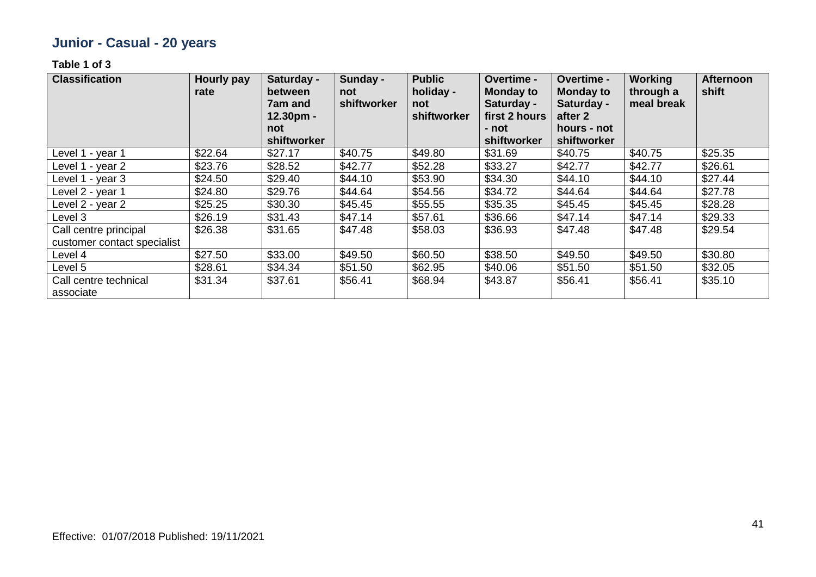# **Junior - Casual - 20 years**

| <b>Classification</b>                                | <b>Hourly pay</b><br>rate | Saturday -<br>between<br>7am and<br>$12.30pm -$ | Sunday -<br>not<br>shiftworker | <b>Public</b><br>holiday -<br>not<br>shiftworker | Overtime -<br><b>Monday to</b><br>Saturday -<br>first 2 hours | Overtime -<br><b>Monday to</b><br>Saturday -<br>after 2 | <b>Working</b><br>through a<br>meal break | <b>Afternoon</b><br>shift |
|------------------------------------------------------|---------------------------|-------------------------------------------------|--------------------------------|--------------------------------------------------|---------------------------------------------------------------|---------------------------------------------------------|-------------------------------------------|---------------------------|
|                                                      |                           | not<br>shiftworker                              |                                |                                                  | - not<br>shiftworker                                          | hours - not<br>shiftworker                              |                                           |                           |
| Level 1 - year 1                                     | \$22.64                   | \$27.17                                         | \$40.75                        | \$49.80                                          | \$31.69                                                       | \$40.75                                                 | \$40.75                                   | \$25.35                   |
| Level 1 - year 2                                     | \$23.76                   | \$28.52                                         | \$42.77                        | \$52.28                                          | \$33.27                                                       | \$42.77                                                 | \$42.77                                   | \$26.61                   |
| Level 1 - year 3                                     | \$24.50                   | \$29.40                                         | \$44.10                        | \$53.90                                          | \$34.30                                                       | \$44.10                                                 | \$44.10                                   | \$27.44                   |
| Level 2 - year 1                                     | \$24.80                   | \$29.76                                         | \$44.64                        | \$54.56                                          | \$34.72                                                       | \$44.64                                                 | \$44.64                                   | \$27.78                   |
| Level 2 - year 2                                     | \$25.25                   | \$30.30                                         | \$45.45                        | \$55.55                                          | \$35.35                                                       | \$45.45                                                 | \$45.45                                   | \$28.28                   |
| Level 3                                              | \$26.19                   | \$31.43                                         | \$47.14                        | \$57.61                                          | \$36.66                                                       | \$47.14                                                 | \$47.14                                   | \$29.33                   |
| Call centre principal<br>customer contact specialist | \$26.38                   | \$31.65                                         | \$47.48                        | \$58.03                                          | \$36.93                                                       | \$47.48                                                 | \$47.48                                   | \$29.54                   |
| Level 4                                              | \$27.50                   | \$33.00                                         | \$49.50                        | \$60.50                                          | \$38.50                                                       | \$49.50                                                 | \$49.50                                   | \$30.80                   |
| Level 5                                              | \$28.61                   | \$34.34                                         | \$51.50                        | \$62.95                                          | \$40.06                                                       | \$51.50                                                 | \$51.50                                   | \$32.05                   |
| Call centre technical<br>associate                   | \$31.34                   | \$37.61                                         | \$56.41                        | \$68.94                                          | \$43.87                                                       | \$56.41                                                 | \$56.41                                   | \$35.10                   |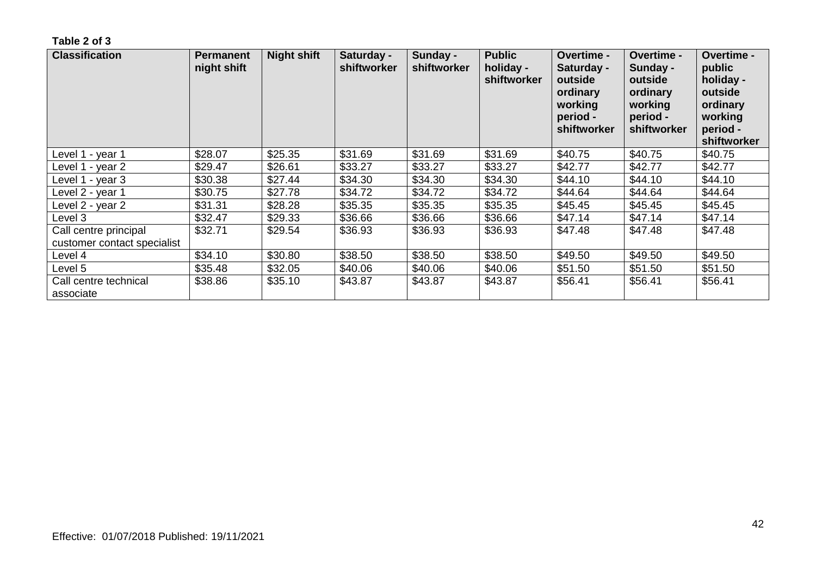| <b>Classification</b>                                | <b>Permanent</b><br>night shift | <b>Night shift</b> | Saturday -<br>shiftworker | Sunday -<br>shiftworker | <b>Public</b><br>holiday -<br>shiftworker | <b>Overtime -</b><br>Saturday -<br>outside<br>ordinary<br>working<br>period -<br>shiftworker | <b>Overtime -</b><br>Sunday -<br>outside<br>ordinary<br>working<br>period -<br>shiftworker | <b>Overtime -</b><br>public<br>holiday -<br>outside<br>ordinary<br>working<br>period -<br>shiftworker |
|------------------------------------------------------|---------------------------------|--------------------|---------------------------|-------------------------|-------------------------------------------|----------------------------------------------------------------------------------------------|--------------------------------------------------------------------------------------------|-------------------------------------------------------------------------------------------------------|
| Level 1 - year 1                                     | \$28.07                         | \$25.35            | \$31.69                   | \$31.69                 | \$31.69                                   | \$40.75                                                                                      | \$40.75                                                                                    | \$40.75                                                                                               |
| Level 1 - year 2                                     | \$29.47                         | \$26.61            | \$33.27                   | \$33.27                 | \$33.27                                   | \$42.77                                                                                      | \$42.77                                                                                    | \$42.77                                                                                               |
| Level 1 - year 3                                     | \$30.38                         | \$27.44            | \$34.30                   | \$34.30                 | \$34.30                                   | \$44.10                                                                                      | \$44.10                                                                                    | \$44.10                                                                                               |
| Level 2 - year 1                                     | \$30.75                         | \$27.78            | \$34.72                   | \$34.72                 | \$34.72                                   | \$44.64                                                                                      | \$44.64                                                                                    | \$44.64                                                                                               |
| Level 2 - year 2                                     | \$31.31                         | \$28.28            | \$35.35                   | \$35.35                 | \$35.35                                   | \$45.45                                                                                      | \$45.45                                                                                    | \$45.45                                                                                               |
| Level 3                                              | \$32.47                         | \$29.33            | \$36.66                   | \$36.66                 | \$36.66                                   | \$47.14                                                                                      | \$47.14                                                                                    | \$47.14                                                                                               |
| Call centre principal<br>customer contact specialist | \$32.71                         | \$29.54            | \$36.93                   | \$36.93                 | \$36.93                                   | \$47.48                                                                                      | \$47.48                                                                                    | \$47.48                                                                                               |
| Level 4                                              | \$34.10                         | \$30.80            | \$38.50                   | \$38.50                 | \$38.50                                   | \$49.50                                                                                      | \$49.50                                                                                    | \$49.50                                                                                               |
| Level 5                                              | \$35.48                         | \$32.05            | \$40.06                   | \$40.06                 | \$40.06                                   | \$51.50                                                                                      | \$51.50                                                                                    | \$51.50                                                                                               |
| Call centre technical<br>associate                   | \$38.86                         | \$35.10            | \$43.87                   | \$43.87                 | \$43.87                                   | \$56.41                                                                                      | \$56.41                                                                                    | \$56.41                                                                                               |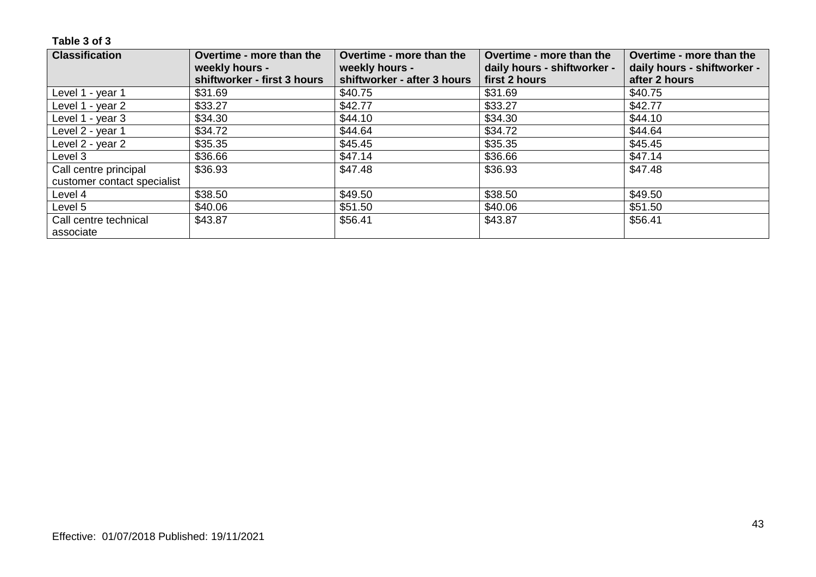| <b>Classification</b>       | Overtime - more than the<br>weekly hours -<br>shiftworker - first 3 hours | Overtime - more than the<br>weekly hours -<br>shiftworker - after 3 hours | Overtime - more than the<br>daily hours - shiftworker -<br>first 2 hours | Overtime - more than the<br>daily hours - shiftworker -<br>after 2 hours |
|-----------------------------|---------------------------------------------------------------------------|---------------------------------------------------------------------------|--------------------------------------------------------------------------|--------------------------------------------------------------------------|
| Level 1 - year 1            | \$31.69                                                                   | \$40.75                                                                   | \$31.69                                                                  | \$40.75                                                                  |
| Level 1 - year 2            | \$33.27                                                                   | \$42.77                                                                   | \$33.27                                                                  | \$42.77                                                                  |
| Level 1 - year 3            | \$34.30                                                                   | \$44.10                                                                   | \$34.30                                                                  | \$44.10                                                                  |
| Level 2 - year 1            | \$34.72                                                                   | \$44.64                                                                   | \$34.72                                                                  | \$44.64                                                                  |
| Level 2 - year 2            | \$35.35                                                                   | \$45.45                                                                   | \$35.35                                                                  | \$45.45                                                                  |
| Level 3                     | \$36.66                                                                   | \$47.14                                                                   | \$36.66                                                                  | \$47.14                                                                  |
| Call centre principal       | \$36.93                                                                   | \$47.48                                                                   | \$36.93                                                                  | \$47.48                                                                  |
| customer contact specialist |                                                                           |                                                                           |                                                                          |                                                                          |
| Level 4                     | \$38.50                                                                   | \$49.50                                                                   | \$38.50                                                                  | \$49.50                                                                  |
| Level 5                     | \$40.06                                                                   | \$51.50                                                                   | \$40.06                                                                  | \$51.50                                                                  |
| Call centre technical       | \$43.87                                                                   | \$56.41                                                                   | \$43.87                                                                  | \$56.41                                                                  |
| associate                   |                                                                           |                                                                           |                                                                          |                                                                          |